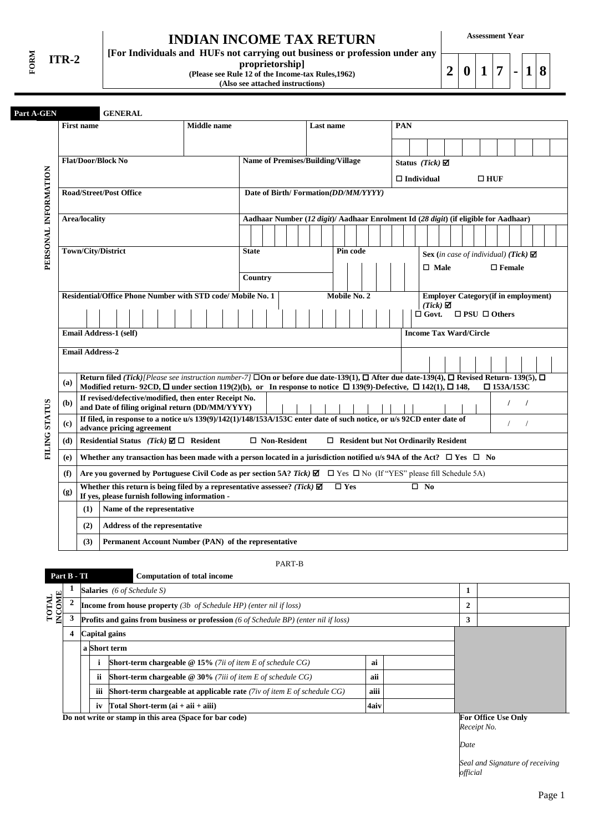**FORM ITR-2**

# **INDIAN INCOME TAX RETURN**

**proprietorship] (Please see Rule 12 of the Income-tax Rules,1962) (Also see attached instructions)**

**[For Individuals and HUFs not carrying out business or profession under any** 

**Assessment Year**

**2 0 1 7 - 1 8**

|                      | <b>First name</b>                                           |                                                                                                                                                                                              |  |  | <b>Middle</b> name                                          |              |         |                     | Last name                                |              |  |  | <b>PAN</b> |                           |                      |                                             |                               |            |                                                                                      |          |  |
|----------------------|-------------------------------------------------------------|----------------------------------------------------------------------------------------------------------------------------------------------------------------------------------------------|--|--|-------------------------------------------------------------|--------------|---------|---------------------|------------------------------------------|--------------|--|--|------------|---------------------------|----------------------|---------------------------------------------|-------------------------------|------------|--------------------------------------------------------------------------------------|----------|--|
|                      |                                                             |                                                                                                                                                                                              |  |  |                                                             |              |         |                     |                                          |              |  |  |            |                           |                      |                                             |                               |            |                                                                                      |          |  |
|                      | <b>Flat/Door/Block No</b>                                   |                                                                                                                                                                                              |  |  |                                                             |              |         |                     | <b>Name of Premises/Building/Village</b> |              |  |  |            | Status (Tick) $\boxtimes$ |                      |                                             |                               |            |                                                                                      |          |  |
|                      |                                                             |                                                                                                                                                                                              |  |  |                                                             |              |         |                     |                                          |              |  |  |            | $\Box$ Individual         |                      |                                             |                               | $\Box$ HUF |                                                                                      |          |  |
|                      | <b>Road/Street/Post Office</b>                              |                                                                                                                                                                                              |  |  |                                                             |              |         |                     | Date of Birth/Formation(DD/MM/YYYY)      |              |  |  |            |                           |                      |                                             |                               |            |                                                                                      |          |  |
|                      | <b>Area/locality</b>                                        |                                                                                                                                                                                              |  |  |                                                             |              |         |                     |                                          |              |  |  |            |                           |                      |                                             |                               |            | Aadhaar Number (12 digit)/ Aadhaar Enrolment Id (28 digit) (if eligible for Aadhaar) |          |  |
| PERSONAL INFORMATION |                                                             |                                                                                                                                                                                              |  |  |                                                             |              |         |                     |                                          |              |  |  |            |                           |                      |                                             |                               |            |                                                                                      |          |  |
|                      | Town/City/District                                          |                                                                                                                                                                                              |  |  |                                                             | <b>State</b> |         |                     |                                          | Pin code     |  |  |            |                           |                      |                                             |                               |            | Sex (in case of individual) (Tick) $\boxtimes$                                       |          |  |
|                      |                                                             |                                                                                                                                                                                              |  |  |                                                             |              |         |                     |                                          |              |  |  |            |                           | $\Box$ Male          |                                             |                               |            | $\square$ Female                                                                     |          |  |
|                      |                                                             |                                                                                                                                                                                              |  |  |                                                             |              | Country |                     |                                          |              |  |  |            |                           |                      |                                             |                               |            |                                                                                      |          |  |
|                      | Residential/Office Phone Number with STD code/ Mobile No. 1 |                                                                                                                                                                                              |  |  |                                                             |              |         |                     |                                          | Mobile No. 2 |  |  |            |                           | $(Tick)$ $\boxtimes$ |                                             |                               |            | <b>Employer Category</b> (if in employment)                                          |          |  |
|                      |                                                             |                                                                                                                                                                                              |  |  |                                                             |              |         |                     |                                          |              |  |  |            |                           |                      |                                             |                               |            | $\Box$ Govt. $\Box$ PSU $\Box$ Others                                                |          |  |
|                      | Email Address-1 (self)                                      |                                                                                                                                                                                              |  |  |                                                             |              |         |                     |                                          |              |  |  |            |                           |                      |                                             | <b>Income Tax Ward/Circle</b> |            |                                                                                      |          |  |
|                      | <b>Email Address-2</b>                                      |                                                                                                                                                                                              |  |  |                                                             |              |         |                     |                                          |              |  |  |            |                           |                      |                                             |                               |            |                                                                                      |          |  |
|                      |                                                             |                                                                                                                                                                                              |  |  |                                                             |              |         |                     |                                          |              |  |  |            |                           |                      |                                             |                               |            |                                                                                      |          |  |
| (a)                  |                                                             | Return filed (Tick)[Please see instruction number-7] $\square$ On or before due date-139(1), $\square$ After due date-139(4), $\square$ Revised Return-139(5), $\square$                     |  |  |                                                             |              |         |                     |                                          |              |  |  |            |                           |                      |                                             |                               |            |                                                                                      |          |  |
|                      |                                                             | Modified return- 92CD, $\Box$ under section 119(2)(b), or In response to notice $\Box$ 139(9)-Defective, $\Box$ 142(1), $\Box$ 148,<br>If revised/defective/modified, then enter Receipt No. |  |  |                                                             |              |         |                     |                                          |              |  |  |            |                           |                      |                                             |                               |            | $\Box$ 153A/153C                                                                     |          |  |
| (b)                  |                                                             | and Date of filing original return (DD/MM/YYYY)                                                                                                                                              |  |  |                                                             |              |         |                     |                                          |              |  |  |            |                           |                      |                                             |                               |            | $\prime$                                                                             | $\prime$ |  |
| FILING STATUS<br>(c) |                                                             | If filed, in response to a notice u/s 139(9)/142(1)/148/153A/153C enter date of such notice, or u/s 92CD enter date of<br>advance pricing agreement                                          |  |  |                                                             |              |         |                     |                                          |              |  |  |            |                           |                      |                                             |                               |            | $\prime$                                                                             | $\prime$ |  |
| (d)                  |                                                             | Residential Status (Tick) $\boxtimes \Box$ Resident                                                                                                                                          |  |  |                                                             |              |         | $\Box$ Non-Resident |                                          |              |  |  |            |                           |                      | $\Box$ Resident but Not Ordinarily Resident |                               |            |                                                                                      |          |  |
| (e)                  |                                                             | Whether any transaction has been made with a person located in a jurisdiction notified u/s 94A of the Act? $\Box$ Yes $\Box$ No                                                              |  |  |                                                             |              |         |                     |                                          |              |  |  |            |                           |                      |                                             |                               |            |                                                                                      |          |  |
| (f)                  |                                                             | Are you governed by Portuguese Civil Code as per section 5A? Tick) $\Box$ $\Box$ Yes $\Box$ No (If "YES" please fill Schedule 5A)                                                            |  |  |                                                             |              |         |                     |                                          |              |  |  |            |                           |                      |                                             |                               |            |                                                                                      |          |  |
| (g)                  |                                                             | Whether this return is being filed by a representative assessee? (Tick) $\boxtimes$<br>If yes, please furnish following information -                                                        |  |  |                                                             |              |         |                     |                                          | $\Box$ Yes   |  |  |            | $\square$ No              |                      |                                             |                               |            |                                                                                      |          |  |
|                      | (1)                                                         | Name of the representative                                                                                                                                                                   |  |  |                                                             |              |         |                     |                                          |              |  |  |            |                           |                      |                                             |                               |            |                                                                                      |          |  |
|                      | (2)                                                         | Address of the representative                                                                                                                                                                |  |  |                                                             |              |         |                     |                                          |              |  |  |            |                           |                      |                                             |                               |            |                                                                                      |          |  |
|                      |                                                             |                                                                                                                                                                                              |  |  | <b>Permanent Account Number (PAN)</b> of the representative |              |         |                     |                                          |              |  |  |            |                           |                      |                                             |                               |            |                                                                                      |          |  |

PART-B

| Part B - TI            |                                                                                                    |  |                                                                                             |   | <b>Computation of total income</b>                                        |      |  |                |  |
|------------------------|----------------------------------------------------------------------------------------------------|--|---------------------------------------------------------------------------------------------|---|---------------------------------------------------------------------------|------|--|----------------|--|
|                        |                                                                                                    |  |                                                                                             |   | <b>Salaries</b> (6 of Schedule S)                                         |      |  | 1              |  |
| <b>INCOME</b><br>TOTAL |                                                                                                    |  |                                                                                             |   | <b>Income from house property</b> (3b of Schedule HP) (enter nil if loss) |      |  | $\overline{2}$ |  |
|                        |                                                                                                    |  | <b>Profits and gains from business or profession</b> (6 of Schedule BP) (enter nil if loss) | 3 |                                                                           |      |  |                |  |
|                        | 4                                                                                                  |  | Capital gains                                                                               |   |                                                                           |      |  |                |  |
|                        | a Short term                                                                                       |  |                                                                                             |   |                                                                           |      |  |                |  |
|                        |                                                                                                    |  |                                                                                             |   | <b>Short-term chargeable @ 15%</b> (7ii of item E of schedule $CG$ )      | ai   |  |                |  |
|                        | ii                                                                                                 |  |                                                                                             |   | <b>Short-term chargeable @ 30%</b> (7iii of item E of schedule $CG$ )     | aii  |  |                |  |
|                        | aiii<br><b>Short-term chargeable at applicable rate</b> (7iv of item $E$ of schedule $CG$ )<br>iii |  |                                                                                             |   |                                                                           |      |  |                |  |
|                        |                                                                                                    |  | iv                                                                                          |   | Total Short-term $(ai + aii + aiii)$                                      | 4aiv |  |                |  |
|                        | Do not write or stamp in this area (Space for bar code)                                            |  | <b>For Office Use Only</b>                                                                  |   |                                                                           |      |  |                |  |

*Receipt No.*

*Date*

*Seal and Signature of receiving official*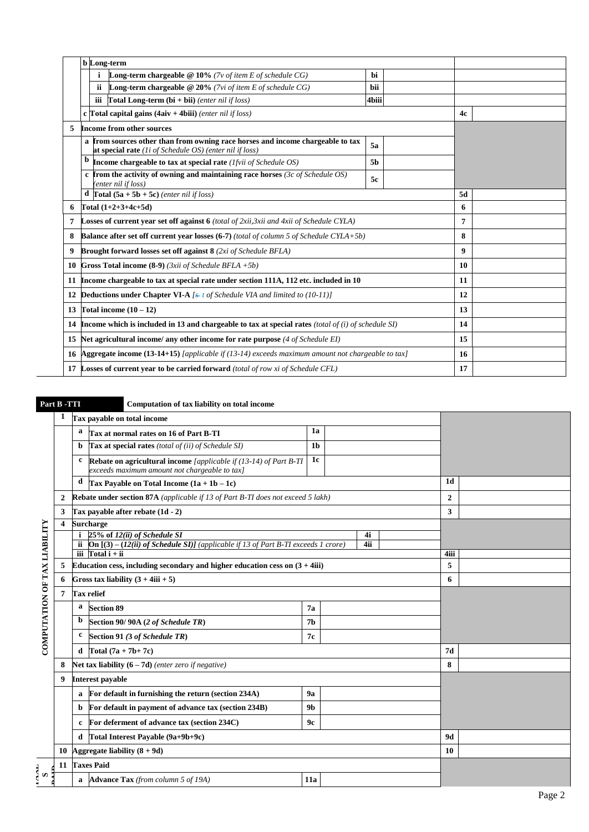|    | <b>b</b> Long-term                                                                                                                                 |                |    |  |
|----|----------------------------------------------------------------------------------------------------------------------------------------------------|----------------|----|--|
|    | <b>Long-term chargeable</b> $@10\%$ (7v of item E of schedule CG)<br>i                                                                             | <b>bi</b>      |    |  |
|    | <b>Long-term chargeable @ 20%</b> (7vi of item E of schedule $CG$ )<br>ii.                                                                         | <b>bii</b>     |    |  |
|    | iii<br><b>Total Long-term (bi</b> + bii) (enter nil if loss)                                                                                       | 4biii          |    |  |
|    | c Total capital gains $(4aiv + 4biii)$ (enter nil if loss)                                                                                         |                | 4c |  |
| 5  | <b>Income from other sources</b>                                                                                                                   |                |    |  |
|    | a from sources other than from owning race horses and income chargeable to tax<br>at special rate ( <i>li of Schedule OS</i> ) (enter nil if loss) | 5a             |    |  |
|    | Income chargeable to tax at special rate ( <i>lfvii of Schedule OS</i> )                                                                           | 5 <sub>b</sub> |    |  |
|    | c from the activity of owning and maintaining race horses (3c of Schedule OS)<br>(enter nil if loss)                                               |                |    |  |
|    | <b>d</b> Total $(5a + 5b + 5c)$ (enter nil if loss)                                                                                                | 5d             |    |  |
| 6  | Total $(1+2+3+4c+5d)$                                                                                                                              | 6              |    |  |
| 7  | <b>Losses of current year set off against 6</b> (total of 2xii, 3xii and 4xii of Schedule CYLA)                                                    |                | 7  |  |
| 8  | <b>Balance after set off current year losses (6-7)</b> (total of column 5 of Schedule CYLA+5b)                                                     |                | 8  |  |
| 9  | <b>Brought forward losses set off against 8</b> (2xi of Schedule BFLA)                                                                             |                | 9  |  |
|    | <b>10 Gross Total income (8-9)</b> (3xii of Schedule BFLA $+5b$ )                                                                                  |                | 10 |  |
| 11 | Income chargeable to tax at special rate under section 111A, 112 etc. included in 10                                                               |                | 11 |  |
| 12 | <b>Deductions under Chapter VI-A</b> $f$ s-t of Schedule VIA and limited to (10-11)]                                                               |                | 12 |  |
| 13 | Total income $(10 - 12)$                                                                                                                           | 13             |    |  |
|    | 14 Income which is included in 13 and chargeable to tax at special rates (total of (i) of schedule SI)                                             | 14             |    |  |
| 15 | Net agricultural income/ any other income for rate purpose (4 of Schedule EI)                                                                      | 15             |    |  |
|    | 16 Aggregate income (13-14+15) [applicable if $(13-14)$ exceeds maximum amount not chargeable to tax]                                              |                | 16 |  |
|    | 17 Losses of current year to be carried forward (total of row xi of Schedule CFL)                                                                  |                | 17 |  |

## **Part B -TTI Computation of tax liability on total income**

| 1a<br>a<br>Tax at normal rates on 16 of Part B-TI<br>Tax at special rates (total of (ii) of Schedule SI)<br>1 <sub>b</sub><br>b<br>1c<br>Rebate on agricultural income [applicable if (13-14) of Part B-TI<br>c<br>exceeds maximum amount not chargeable to tax]<br>1 <sub>d</sub><br>d<br>Tax Payable on Total Income $(1a + 1b - 1c)$<br><b>Rebate under section 87A</b> (applicable if 13 of Part B-TI does not exceed 5 lakh)<br>$\overline{2}$<br>2<br>$\mathbf{3}$<br>3<br>Tax payable after rebate (1d - 2) |  |
|--------------------------------------------------------------------------------------------------------------------------------------------------------------------------------------------------------------------------------------------------------------------------------------------------------------------------------------------------------------------------------------------------------------------------------------------------------------------------------------------------------------------|--|
|                                                                                                                                                                                                                                                                                                                                                                                                                                                                                                                    |  |
|                                                                                                                                                                                                                                                                                                                                                                                                                                                                                                                    |  |
|                                                                                                                                                                                                                                                                                                                                                                                                                                                                                                                    |  |
|                                                                                                                                                                                                                                                                                                                                                                                                                                                                                                                    |  |
|                                                                                                                                                                                                                                                                                                                                                                                                                                                                                                                    |  |
|                                                                                                                                                                                                                                                                                                                                                                                                                                                                                                                    |  |
| <b>Surcharge</b><br>4                                                                                                                                                                                                                                                                                                                                                                                                                                                                                              |  |
| 25% of 12(ii) of Schedule SI<br>4i                                                                                                                                                                                                                                                                                                                                                                                                                                                                                 |  |
| <b>On</b> $[(3) - (12(ii)$ of Schedule SI)] (applicable if 13 of Part B-TI exceeds 1 crore)<br>4ii                                                                                                                                                                                                                                                                                                                                                                                                                 |  |
| iii $Total i + ii$<br>4iii                                                                                                                                                                                                                                                                                                                                                                                                                                                                                         |  |
| Education cess, including secondary and higher education cess on $(3 + 4iii)$<br>5<br>5                                                                                                                                                                                                                                                                                                                                                                                                                            |  |
| Gross tax liability $(3 + 4iii + 5)$<br>6<br>6                                                                                                                                                                                                                                                                                                                                                                                                                                                                     |  |
| <b>Tax relief</b><br>7                                                                                                                                                                                                                                                                                                                                                                                                                                                                                             |  |
| <b>Section 89</b><br>a<br>7a                                                                                                                                                                                                                                                                                                                                                                                                                                                                                       |  |
| b<br>Section 90/90A (2 of Schedule TR)<br>7 <sub>b</sub>                                                                                                                                                                                                                                                                                                                                                                                                                                                           |  |
| COMPUTATION OF TAX LIABILITY<br>c<br>Section 91 (3 of Schedule TR)<br>7c                                                                                                                                                                                                                                                                                                                                                                                                                                           |  |
| d Total $(7a + 7b + 7c)$<br>7d                                                                                                                                                                                                                                                                                                                                                                                                                                                                                     |  |
| 8<br>Net tax liability $(6 - 7d)$ (enter zero if negative)<br>8                                                                                                                                                                                                                                                                                                                                                                                                                                                    |  |
| <b>Interest payable</b><br>9                                                                                                                                                                                                                                                                                                                                                                                                                                                                                       |  |
| For default in furnishing the return (section 234A)<br>9a<br>a                                                                                                                                                                                                                                                                                                                                                                                                                                                     |  |
| For default in payment of advance tax (section 234B)<br>9 <sub>b</sub><br>b                                                                                                                                                                                                                                                                                                                                                                                                                                        |  |
| For deferment of advance tax (section 234C)<br>9c<br>c                                                                                                                                                                                                                                                                                                                                                                                                                                                             |  |
| Total Interest Payable (9a+9b+9c)<br>9d<br>d                                                                                                                                                                                                                                                                                                                                                                                                                                                                       |  |
| Aggregate liability $(8 + 9d)$<br>10<br>10                                                                                                                                                                                                                                                                                                                                                                                                                                                                         |  |
| <b>Taxes Paid</b><br>11                                                                                                                                                                                                                                                                                                                                                                                                                                                                                            |  |
| ှိ ဟ<br><b>Advance Tax</b> (from column 5 of 19A)<br><b>11a</b>                                                                                                                                                                                                                                                                                                                                                                                                                                                    |  |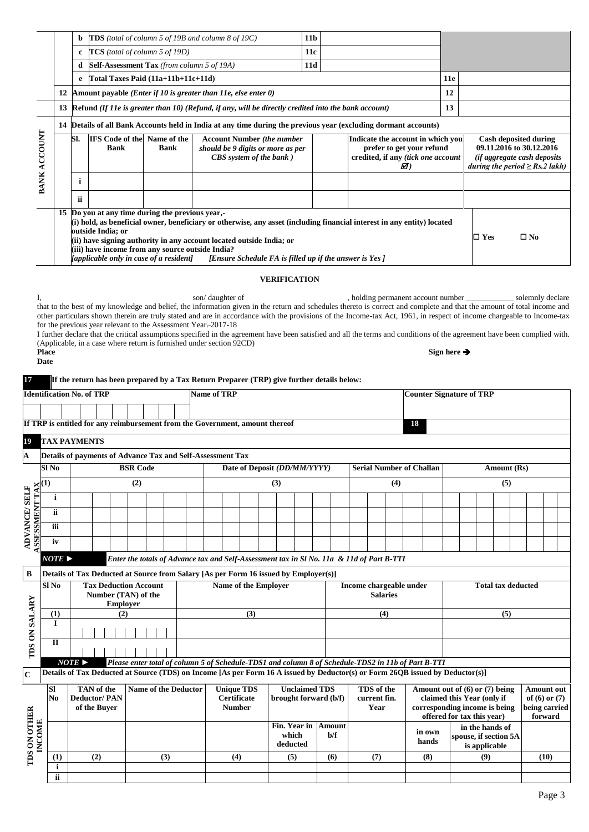|                    |    | b                                                                                                                                                                                                                                                                                                                                                                       |                                                   |                               | <b>TDS</b> (total of column 5 of 19B and column 8 of 19C)                                                    | 11 <sub>b</sub> |                                                                                                            |            |                                                                                                                                       |
|--------------------|----|-------------------------------------------------------------------------------------------------------------------------------------------------------------------------------------------------------------------------------------------------------------------------------------------------------------------------------------------------------------------------|---------------------------------------------------|-------------------------------|--------------------------------------------------------------------------------------------------------------|-----------------|------------------------------------------------------------------------------------------------------------|------------|---------------------------------------------------------------------------------------------------------------------------------------|
|                    |    | c                                                                                                                                                                                                                                                                                                                                                                       | $TCS$ (total of column 5 of 19D)                  |                               |                                                                                                              | <b>11c</b>      |                                                                                                            |            |                                                                                                                                       |
|                    |    | d                                                                                                                                                                                                                                                                                                                                                                       | <b>Self-Assessment Tax</b> (from column 5 of 19A) |                               |                                                                                                              | 11d             |                                                                                                            |            |                                                                                                                                       |
|                    |    | e                                                                                                                                                                                                                                                                                                                                                                       | Total Taxes Paid (11a+11b+11c+11d)                |                               |                                                                                                              |                 |                                                                                                            | <b>11e</b> |                                                                                                                                       |
|                    | 12 |                                                                                                                                                                                                                                                                                                                                                                         |                                                   |                               | Amount payable ( <i>Enter if 10 is greater than 11e, else enter 0</i> )                                      |                 |                                                                                                            | 12         |                                                                                                                                       |
|                    | 13 |                                                                                                                                                                                                                                                                                                                                                                         |                                                   |                               | Refund $(If 11e$ is greater than $10)$ (Refund, if any, will be directly credited into the bank account)     |                 |                                                                                                            | 13         |                                                                                                                                       |
|                    | 14 |                                                                                                                                                                                                                                                                                                                                                                         |                                                   |                               | Details of all Bank Accounts held in India at any time during the previous year (excluding dormant accounts) |                 |                                                                                                            |            |                                                                                                                                       |
| <b>CCOUNT</b><br>⋖ |    | Sl.                                                                                                                                                                                                                                                                                                                                                                     | <b>IFS</b> Code of the<br><b>Bank</b>             | Name of the<br><b>Bank</b>    | <b>Account Number</b> (the number<br>should be 9 digits or more as per<br><b>CBS</b> system of the bank )    |                 | Indicate the account in which you<br>prefer to get your refund<br>credited, if any (tick one account<br>Ø) |            | <b>Cash deposited during</b><br>09.11.2016 to 30.12.2016<br><i>(if aggregate cash deposits)</i><br>during the period $\ge$ Rs.2 lakh) |
| BANK               |    | j                                                                                                                                                                                                                                                                                                                                                                       |                                                   |                               |                                                                                                              |                 |                                                                                                            |            |                                                                                                                                       |
|                    |    | ii                                                                                                                                                                                                                                                                                                                                                                      |                                                   |                               |                                                                                                              |                 |                                                                                                            |            |                                                                                                                                       |
|                    |    | 15 Do you at any time during the previous year,-<br>(i) hold, as beneficial owner, beneficiary or otherwise, any asset (including financial interest in any entity) located<br>outside India; or<br>(ii) have signing authority in any account located outside India; or<br>(iii) have income from any source outside India?<br>[applicable only in case of a resident] |                                                   | $\square$ No<br>$\square$ Yes |                                                                                                              |                 |                                                                                                            |            |                                                                                                                                       |

#### **VERIFICATION**

I, son/ daughter of , holding permanent account number \_\_\_\_\_\_\_\_\_\_\_\_\_\_\_\_ solemnly declare that to the best of my knowledge and belief, the information given in the return and schedules thereto is correct and complete and that the amount of total income and other particulars shown therein are truly stated and are in accordance with the provisions of the Income-tax Act, 1961, in respect of income chargeable to Income-tax for the previous year relevant to the Assessment Year-2017-18

I further declare that the critical assumptions specified in the agreement have been satisfied and all the terms and conditions of the agreement have been complied with. (Applicable, in a case where return is furnished under section 92CD) **Sign here** 

| . . | ×<br>۰.<br>w<br>۰. |
|-----|--------------------|
|     |                    |

### **17 If the return has been prepared by a Tax Return Preparer (TRP) give further details below:**

| <b>Identification No. of TRP</b>                                                                                                                                                                  |                    |                       |                                        |                 |  |                             |  | <b>Name of TRP</b>                                                           |                    |     |                                               |  |        |                            |     | <b>Counter Signature of TRP</b>                                                                                               |  |                                               |  |                                        |
|---------------------------------------------------------------------------------------------------------------------------------------------------------------------------------------------------|--------------------|-----------------------|----------------------------------------|-----------------|--|-----------------------------|--|------------------------------------------------------------------------------|--------------------|-----|-----------------------------------------------|--|--------|----------------------------|-----|-------------------------------------------------------------------------------------------------------------------------------|--|-----------------------------------------------|--|----------------------------------------|
|                                                                                                                                                                                                   |                    |                       |                                        |                 |  |                             |  |                                                                              |                    |     |                                               |  |        |                            |     |                                                                                                                               |  |                                               |  |                                        |
|                                                                                                                                                                                                   |                    |                       |                                        |                 |  |                             |  | If TRP is entitled for any reimbursement from the Government, amount thereof |                    |     |                                               |  |        |                            |     | 18                                                                                                                            |  |                                               |  |                                        |
| 19                                                                                                                                                                                                |                    | <b>TAX PAYMENTS</b>   |                                        |                 |  |                             |  |                                                                              |                    |     |                                               |  |        |                            |     |                                                                                                                               |  |                                               |  |                                        |
| A                                                                                                                                                                                                 |                    |                       |                                        |                 |  |                             |  | Details of payments of Advance Tax and Self-Assessment Tax                   |                    |     |                                               |  |        |                            |     |                                                                                                                               |  |                                               |  |                                        |
|                                                                                                                                                                                                   | $SI$ No            |                       |                                        | <b>BSR Code</b> |  |                             |  |                                                                              |                    |     | Date of Deposit (DD/MM/YYYY)                  |  |        |                            |     | <b>Serial Number of Challan</b>                                                                                               |  | Amount (Rs)                                   |  |                                        |
|                                                                                                                                                                                                   | $\bf(1)$           |                       |                                        | (2)             |  |                             |  |                                                                              |                    | (3) |                                               |  |        |                            | (4) |                                                                                                                               |  | (5)                                           |  |                                        |
|                                                                                                                                                                                                   | i                  |                       |                                        |                 |  |                             |  |                                                                              |                    |     |                                               |  |        |                            |     |                                                                                                                               |  |                                               |  |                                        |
|                                                                                                                                                                                                   | ii                 |                       |                                        |                 |  |                             |  |                                                                              |                    |     |                                               |  |        |                            |     |                                                                                                                               |  |                                               |  |                                        |
| ADVANCE/SELF                                                                                                                                                                                      | iii                |                       |                                        |                 |  |                             |  |                                                                              |                    |     |                                               |  |        |                            |     |                                                                                                                               |  |                                               |  |                                        |
| <b>ASSESSMENT TAX</b>                                                                                                                                                                             | iv                 |                       |                                        |                 |  |                             |  |                                                                              |                    |     |                                               |  |        |                            |     |                                                                                                                               |  |                                               |  |                                        |
|                                                                                                                                                                                                   | NOTE               |                       |                                        |                 |  |                             |  |                                                                              |                    |     |                                               |  |        |                            |     |                                                                                                                               |  |                                               |  |                                        |
| Enter the totals of Advance tax and Self-Assessment tax in Sl No. 11a & 11d of Part B-TTI<br>$\, {\bf B}$<br>Details of Tax Deducted at Source from Salary [As per Form 16 issued by Employer(s)] |                    |                       |                                        |                 |  |                             |  |                                                                              |                    |     |                                               |  |        |                            |     |                                                                                                                               |  |                                               |  |                                        |
|                                                                                                                                                                                                   | Sl No              |                       | <b>Tax Deduction Account</b>           |                 |  |                             |  | Name of the Employer                                                         |                    |     |                                               |  |        | <b>Salaries</b>            |     | Income chargeable under                                                                                                       |  | <b>Total tax deducted</b>                     |  |                                        |
|                                                                                                                                                                                                   |                    |                       | Number (TAN) of the<br><b>Employer</b> |                 |  |                             |  |                                                                              |                    |     |                                               |  |        |                            |     |                                                                                                                               |  |                                               |  |                                        |
|                                                                                                                                                                                                   | (1)<br>$\mathbf I$ |                       | (2)                                    |                 |  |                             |  |                                                                              | (3)                |     |                                               |  |        | (4)                        |     |                                                                                                                               |  | (5)                                           |  |                                        |
|                                                                                                                                                                                                   |                    |                       |                                        |                 |  |                             |  |                                                                              |                    |     |                                               |  |        |                            |     |                                                                                                                               |  |                                               |  |                                        |
| <b>TDS ON SALARY</b>                                                                                                                                                                              | $\mathbf{I}$       |                       |                                        |                 |  |                             |  |                                                                              |                    |     |                                               |  |        |                            |     |                                                                                                                               |  |                                               |  |                                        |
|                                                                                                                                                                                                   |                    | $NOTE \triangleright$ |                                        |                 |  |                             |  |                                                                              |                    |     |                                               |  |        |                            |     | Please enter total of column 5 of Schedule-TDS1 and column 8 of Schedule-TDS2 in 11b of Part B-TTI                            |  |                                               |  |                                        |
| $\mathbf C$                                                                                                                                                                                       |                    |                       |                                        |                 |  |                             |  |                                                                              |                    |     |                                               |  |        |                            |     | Details of Tax Deducted at Source (TDS) on Income [As per Form 16 A issued by Deductor(s) or Form 26QB issued by Deductor(s)] |  |                                               |  |                                        |
|                                                                                                                                                                                                   | <b>SI</b><br>No    |                       | TAN of the<br><b>Deductor/PAN</b>      |                 |  | <b>Name of the Deductor</b> |  | <b>Unique TDS</b>                                                            | <b>Certificate</b> |     | <b>Unclaimed TDS</b><br>brought forward (b/f) |  |        | TDS of the<br>current fin. |     | Amount out of (6) or (7) being                                                                                                |  | claimed this Year (only if                    |  | <b>Amount out</b><br>of $(6)$ or $(7)$ |
|                                                                                                                                                                                                   |                    |                       | of the Buyer                           |                 |  |                             |  |                                                                              | <b>Number</b>      |     |                                               |  |        | Year                       |     | corresponding income is being                                                                                                 |  |                                               |  | being carried                          |
|                                                                                                                                                                                                   |                    |                       |                                        |                 |  |                             |  |                                                                              |                    |     | Fin. Year in                                  |  | Amount |                            |     |                                                                                                                               |  | offered for tax this year)<br>in the hands of |  | forward                                |
| <b>TDS ON OTHER</b><br>INCOME                                                                                                                                                                     |                    |                       |                                        |                 |  |                             |  |                                                                              |                    |     | which<br>deducted                             |  | $b/f$  |                            |     | in own<br>hands                                                                                                               |  | spouse, if section 5A<br>is applicable        |  |                                        |
|                                                                                                                                                                                                   | (1)                |                       | (2)                                    |                 |  | (3)                         |  |                                                                              | (4)                |     | (5)                                           |  | (6)    | (7)                        |     | (8)                                                                                                                           |  | (9)                                           |  | (10)                                   |
|                                                                                                                                                                                                   | i<br>ii            |                       |                                        |                 |  |                             |  |                                                                              |                    |     |                                               |  |        |                            |     |                                                                                                                               |  |                                               |  |                                        |
|                                                                                                                                                                                                   |                    |                       |                                        |                 |  |                             |  |                                                                              |                    |     |                                               |  |        |                            |     |                                                                                                                               |  |                                               |  |                                        |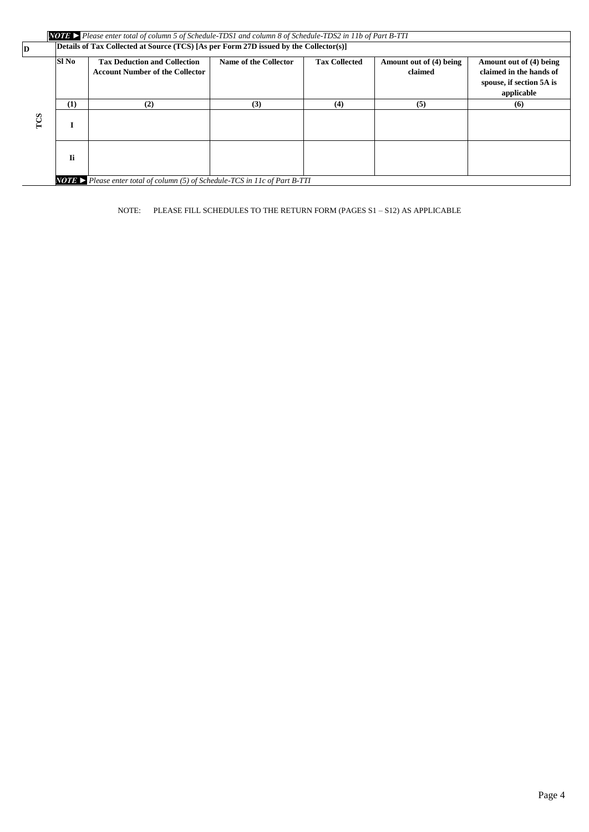|          |       | <b>NOTE</b> Please enter total of column 5 of Schedule-TDS1 and column 8 of Schedule-TDS2 in 11b of Part B-TTI |                       |                      |                                    |                                                                                              |
|----------|-------|----------------------------------------------------------------------------------------------------------------|-----------------------|----------------------|------------------------------------|----------------------------------------------------------------------------------------------|
| <b>D</b> |       | Details of Tax Collected at Source (TCS) [As per Form 27D issued by the Collector(s)]                          |                       |                      |                                    |                                                                                              |
|          | Sl No | <b>Tax Deduction and Collection</b><br><b>Account Number of the Collector</b>                                  | Name of the Collector | <b>Tax Collected</b> | Amount out of (4) being<br>claimed | Amount out of (4) being<br>claimed in the hands of<br>spouse, if section 5A is<br>applicable |
|          | (1)   | (2)                                                                                                            | (3)                   | (4)                  | (5)                                | (6)                                                                                          |
| TCS      |       |                                                                                                                |                       |                      |                                    |                                                                                              |
|          | Ii    |                                                                                                                |                       |                      |                                    |                                                                                              |
|          |       | <b>NOTE</b> Please enter total of column $(5)$ of Schedule-TCS in 11c of Part B-TTI                            |                       |                      |                                    |                                                                                              |

NOTE: PLEASE FILL SCHEDULES TO THE RETURN FORM (PAGES S1 – S12) AS APPLICABLE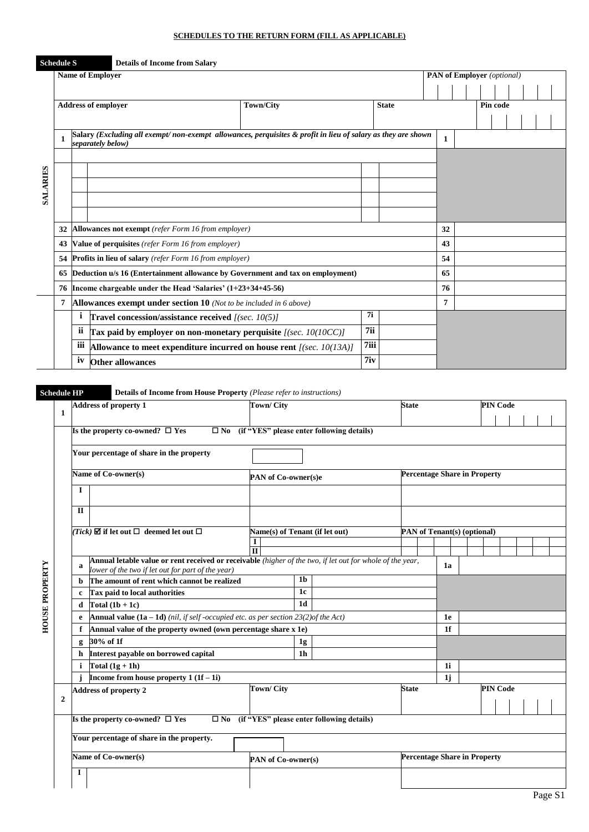### **SCHEDULES TO THE RETURN FORM (FILL AS APPLICABLE)**

|                 | <b>Schedule S</b> |     | <b>Details of Income from Salary</b>                           |                                                                                                              |      |              |                                   |  |          |  |  |
|-----------------|-------------------|-----|----------------------------------------------------------------|--------------------------------------------------------------------------------------------------------------|------|--------------|-----------------------------------|--|----------|--|--|
|                 |                   |     | <b>Name of Employer</b>                                        |                                                                                                              |      |              | <b>PAN of Employer</b> (optional) |  |          |  |  |
|                 |                   |     |                                                                |                                                                                                              |      |              |                                   |  |          |  |  |
|                 |                   |     | <b>Address of employer</b>                                     | <b>Town/City</b>                                                                                             |      | <b>State</b> |                                   |  | Pin code |  |  |
|                 |                   |     |                                                                |                                                                                                              |      |              |                                   |  |          |  |  |
|                 | 1                 |     | separately below)                                              | Salary (Excluding all exempt/non-exempt allowances, perquisites & profit in lieu of salary as they are shown |      |              | $\mathbf{1}$                      |  |          |  |  |
|                 |                   |     |                                                                |                                                                                                              |      |              |                                   |  |          |  |  |
|                 |                   |     |                                                                |                                                                                                              |      |              |                                   |  |          |  |  |
| <b>SALARIES</b> |                   |     |                                                                |                                                                                                              |      |              |                                   |  |          |  |  |
|                 |                   |     |                                                                |                                                                                                              |      |              |                                   |  |          |  |  |
|                 |                   |     |                                                                |                                                                                                              |      |              |                                   |  |          |  |  |
|                 | 32                |     | Allowances not exempt (refer Form 16 from employer)            |                                                                                                              |      |              | 32                                |  |          |  |  |
|                 | 43                |     | Value of perquisites (refer Form 16 from employer)             |                                                                                                              |      |              | 43                                |  |          |  |  |
|                 | 54                |     | <b>Profits in lieu of salary</b> (refer Form 16 from employer) |                                                                                                              |      |              | 54                                |  |          |  |  |
|                 | 65                |     |                                                                | Deduction u/s 16 (Entertainment allowance by Government and tax on employment)                               |      |              | 65                                |  |          |  |  |
|                 | 76                |     | Income chargeable under the Head 'Salaries' $(1+23+34+45-56)$  |                                                                                                              |      |              | 76                                |  |          |  |  |
|                 | 7                 |     |                                                                | Allowances exempt under section $10$ (Not to be included in 6 above)                                         |      |              | 7                                 |  |          |  |  |
|                 |                   | i   | Travel concession/assistance received $[(sec. 10(5))]$         |                                                                                                              | 7i   |              |                                   |  |          |  |  |
|                 |                   | ii  |                                                                | Tax paid by employer on non-monetary perquisite $[(sec. 10(10CC))]$                                          | 7ii  |              |                                   |  |          |  |  |
|                 |                   | iii |                                                                | Allowance to meet expenditure incurred on house rent $[(sec. 10(13A))]$                                      | 7iii |              |                                   |  |          |  |  |
|                 |                   | 1V  | <b>Other allowances</b>                                        |                                                                                                              | 7iv  |              |                                   |  |          |  |  |

**Schedule HP Details of Income from House Property** *(Please refer to instructions)*

|                       |                |              | <b>Address of property 1</b>                                                                                                                                   | <b>Town/City</b>               |                |                                                     | <b>State</b> |                                     |                | <b>PIN Code</b> |  |  |
|-----------------------|----------------|--------------|----------------------------------------------------------------------------------------------------------------------------------------------------------------|--------------------------------|----------------|-----------------------------------------------------|--------------|-------------------------------------|----------------|-----------------|--|--|
|                       | 1              |              |                                                                                                                                                                |                                |                |                                                     |              |                                     |                |                 |  |  |
|                       |                |              | Is the property co-owned? $\square$ Yes<br>$\square$ No                                                                                                        |                                |                | (if "YES" please enter following details)           |              |                                     |                |                 |  |  |
|                       |                |              | Your percentage of share in the property                                                                                                                       |                                |                |                                                     |              |                                     |                |                 |  |  |
|                       |                |              | Name of Co-owner(s)                                                                                                                                            | PAN of Co-owner(s)e            |                |                                                     |              | <b>Percentage Share in Property</b> |                |                 |  |  |
|                       |                | I            |                                                                                                                                                                |                                |                |                                                     |              |                                     |                |                 |  |  |
|                       |                | $\mathbf{I}$ |                                                                                                                                                                |                                |                |                                                     |              |                                     |                |                 |  |  |
|                       |                |              | (Tick) $\boxtimes$ if let out $\Box$ deemed let out $\Box$                                                                                                     | Name(s) of Tenant (if let out) |                |                                                     |              | PAN of Tenant(s) (optional)         |                |                 |  |  |
|                       |                |              |                                                                                                                                                                | 1<br>$\overline{\mathbf{H}}$   |                |                                                     |              |                                     |                |                 |  |  |
|                       |                | a            | Annual letable value or rent received or receivable (higher of the two, if let out for whole of the year,<br>lower of the two if let out for part of the year) |                                |                |                                                     |              |                                     | 1a             |                 |  |  |
|                       |                | b            | The amount of rent which cannot be realized                                                                                                                    |                                | 1 <sub>b</sub> |                                                     |              |                                     |                |                 |  |  |
|                       |                | c            | Tax paid to local authorities                                                                                                                                  |                                | 1c             |                                                     |              |                                     |                |                 |  |  |
| <b>HOUSE PROPERTY</b> |                | d            | Total $(1b + 1c)$                                                                                                                                              |                                | 1d             |                                                     |              |                                     |                |                 |  |  |
|                       |                | e            | <b>Annual value (1a – 1d)</b> (nil, if self-occupied etc. as per section 23(2) of the Act)                                                                     |                                |                |                                                     |              |                                     | 1e             |                 |  |  |
|                       |                | f            | Annual value of the property owned (own percentage share x 1e)                                                                                                 |                                |                |                                                     |              |                                     | 1 <sub>f</sub> |                 |  |  |
|                       |                | g            | 30% of 1f                                                                                                                                                      |                                | 1g             |                                                     |              |                                     |                |                 |  |  |
|                       |                | h            | Interest payable on borrowed capital                                                                                                                           |                                | 1h             |                                                     |              |                                     |                |                 |  |  |
|                       |                | i.           | Total $(1g + 1h)$                                                                                                                                              |                                |                |                                                     |              |                                     | 1i             |                 |  |  |
|                       |                |              | Income from house property $1(1f-1i)$                                                                                                                          |                                |                |                                                     |              |                                     | 1j             |                 |  |  |
|                       | $\overline{2}$ |              | <b>Address of property 2</b>                                                                                                                                   | <b>Town/City</b>               |                |                                                     | <b>State</b> |                                     |                | <b>PIN Code</b> |  |  |
|                       |                |              | Is the property co-owned? $\square$ Yes                                                                                                                        |                                |                | $\Box$ No (if "YES" please enter following details) |              |                                     |                |                 |  |  |
|                       |                |              | Your percentage of share in the property.                                                                                                                      |                                |                |                                                     |              |                                     |                |                 |  |  |
|                       |                |              | Name of Co-owner(s)                                                                                                                                            | PAN of Co-owner(s)             |                |                                                     |              | <b>Percentage Share in Property</b> |                |                 |  |  |
|                       |                | 1            |                                                                                                                                                                |                                |                |                                                     |              |                                     |                |                 |  |  |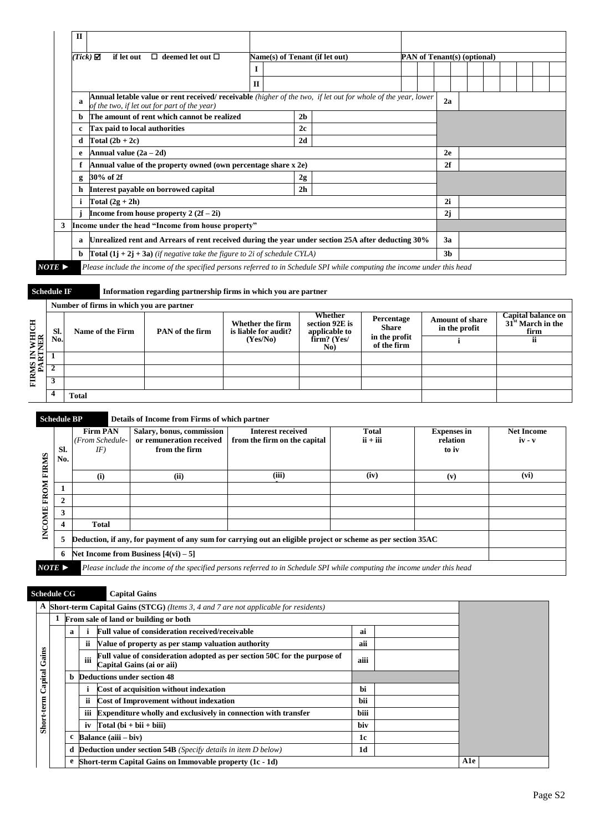| $Tick)$ $\Box$ | $\Box$ deemed let out $\Box$<br>if let out                                                                                                                           | Name(s) of Tenant (if let out) |                |  |                | PAN of Tenant(s) (optional) |  |  |
|----------------|----------------------------------------------------------------------------------------------------------------------------------------------------------------------|--------------------------------|----------------|--|----------------|-----------------------------|--|--|
|                |                                                                                                                                                                      |                                |                |  |                |                             |  |  |
|                |                                                                                                                                                                      | $\Pi$                          |                |  |                |                             |  |  |
|                | <b>Annual letable value or rent received/ receivable</b> (higher of the two, if let out for whole of the year, lower<br>of the two, if let out for part of the year) |                                |                |  | 2a             |                             |  |  |
| b.             | The amount of rent which cannot be realized                                                                                                                          |                                | 2 <sub>b</sub> |  |                |                             |  |  |
|                | Tax paid to local authorities                                                                                                                                        |                                | 2c             |  |                |                             |  |  |
| d              | Total $(2b + 2c)$                                                                                                                                                    |                                | 2d             |  |                |                             |  |  |
| e              | Annual value $(2a - 2d)$                                                                                                                                             |                                |                |  | 2e             |                             |  |  |
|                | Annual value of the property owned (own percentage share x 2e)                                                                                                       |                                |                |  | 2f             |                             |  |  |
| g              | 30% of 2f                                                                                                                                                            |                                | 2g             |  |                |                             |  |  |
| h              | Interest payable on borrowed capital                                                                                                                                 |                                | 2 <sub>h</sub> |  |                |                             |  |  |
|                | Total $(2g + 2h)$                                                                                                                                                    |                                |                |  | 2i             |                             |  |  |
|                | Income from house property $2(2f-2i)$                                                                                                                                |                                |                |  | 2j             |                             |  |  |
| 3              | Income under the head "Income from house property"                                                                                                                   |                                |                |  |                |                             |  |  |
| a              | Unrealized rent and Arrears of rent received during the year under section 25A after deducting 30%                                                                   |                                |                |  | 3a             |                             |  |  |
| b.             | <b>Total</b> $(1j + 2j + 3a)$ (if negative take the figure to 2i of schedule CYLA)                                                                                   |                                |                |  | 3 <sub>b</sub> |                             |  |  |

**Schedule IF Information regarding partnership firms in which you are partner**

|                     |     | Number of firms in which you are partner |                 |                                          |                                            |                              |                                         |                                                   |
|---------------------|-----|------------------------------------------|-----------------|------------------------------------------|--------------------------------------------|------------------------------|-----------------------------------------|---------------------------------------------------|
| i IN WHICH<br>RTNER | SI. | Name of the Firm                         | PAN of the firm | Whether the firm<br>is liable for audit? | Whether<br>section 92E is<br>applicable to | Percentage<br><b>Share</b>   | <b>Amount of share</b><br>in the profit | Capital balance on<br>$31st$ March in the<br>firm |
|                     | No. |                                          |                 | (Yes/No)                                 | firm? (Yes/<br>No)                         | in the profit<br>of the firm |                                         |                                                   |
|                     |     |                                          |                 |                                          |                                            |                              |                                         |                                                   |
| FIRMS<br>PAI        |     |                                          |                 |                                          |                                            |                              |                                         |                                                   |
|                     | 3   |                                          |                 |                                          |                                            |                              |                                         |                                                   |
|                     | 4   | <b>Total</b>                             |                 |                                          |                                            |                              |                                         |                                                   |

#### **Schedule BP Details of Income from Firms of which partner**

| <b>FIRMS</b>  | SI.<br>No. | <b>Firm PAN</b><br>(From Schedule-<br>IF)                                                                    | Salary, bonus, commission<br>or remuneration received<br>from the firm | <b>Interest received</b><br>from the firm on the capital                                                                  | <b>Total</b><br>$ii + iii$ | <b>Expenses in</b><br>relation<br>to iv | <b>Net Income</b><br>$iv - v$ |
|---------------|------------|--------------------------------------------------------------------------------------------------------------|------------------------------------------------------------------------|---------------------------------------------------------------------------------------------------------------------------|----------------------------|-----------------------------------------|-------------------------------|
|               |            | (i)                                                                                                          | (ii)                                                                   | (iii)                                                                                                                     | (iv)                       | (v)                                     | (vi)                          |
| FROM          |            |                                                                                                              |                                                                        |                                                                                                                           |                            |                                         |                               |
|               |            |                                                                                                              |                                                                        |                                                                                                                           |                            |                                         |                               |
|               |            |                                                                                                              |                                                                        |                                                                                                                           |                            |                                         |                               |
| <b>INCOME</b> |            | <b>Total</b>                                                                                                 |                                                                        |                                                                                                                           |                            |                                         |                               |
|               | 5          | Deduction, if any, for payment of any sum for carrying out an eligible project or scheme as per section 35AC |                                                                        |                                                                                                                           |                            |                                         |                               |
|               | 6          |                                                                                                              | Net Income from Business $[4(vi) - 5]$                                 |                                                                                                                           |                            |                                         |                               |
| NOTE          |            |                                                                                                              |                                                                        | Please include the income of the specified persons referred to in Schedule SPI while computing the income under this head |                            |                                         |                               |

*NOTE* **►** *Please include the income of the specified persons referred to in Schedule SPI while computing the income under this head*

### **Schedule CG Capital Gains A Short-term Capital Gains (STCG)** *(Items 3, 4 and 7 are not applicable for residents)* **1 From sale of land or building or both a i Full value of consideration received/receivable ai ii Value of property as per stamp valuation authority aii** Short-term Capital Gains **Short-term Capital Gains iii Full value of consideration adopted as per section 50C for the purpose of Capital Gains (ai or aii) aiii b Deductions under section 48 i Cost of acquisition without indexation bi ii Cost of Improvement without indexation bii iii Expenditure wholly and exclusively in connection with transfer biii** iv  $\begin{bmatrix} \text{Total (bi + bi i + biii)} \end{bmatrix}$ **c Balance (aiii – biv) 1c d Deduction under section 54B** *(Specify details in item D below)* **1d e Short-term Capital Gains on Immovable property (1c - 1d) A1e**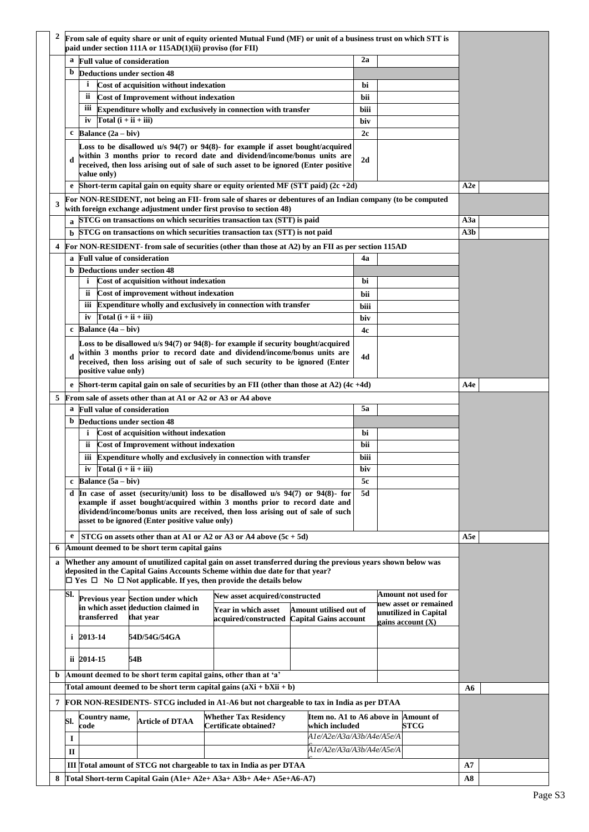|              |                                                                     | From sale of equity share or unit of equity oriented Mutual Fund (MF) or unit of a business trust on which STT is<br>paid under section 111A or 115AD(1)(ii) proviso (for FII) |                                                                          |                                                                                                                                                                                               |                                                        |      |  |                       |     |  |
|--------------|---------------------------------------------------------------------|--------------------------------------------------------------------------------------------------------------------------------------------------------------------------------|--------------------------------------------------------------------------|-----------------------------------------------------------------------------------------------------------------------------------------------------------------------------------------------|--------------------------------------------------------|------|--|-----------------------|-----|--|
|              | a                                                                   | <b>Full value of consideration</b>                                                                                                                                             |                                                                          |                                                                                                                                                                                               |                                                        | 2a   |  |                       |     |  |
|              | b                                                                   | <b>Deductions under section 48</b>                                                                                                                                             |                                                                          |                                                                                                                                                                                               |                                                        |      |  |                       |     |  |
|              |                                                                     | $\mathbf{i}$                                                                                                                                                                   | Cost of acquisition without indexation                                   |                                                                                                                                                                                               |                                                        | bi   |  |                       |     |  |
|              |                                                                     | ii                                                                                                                                                                             | Cost of Improvement without indexation                                   |                                                                                                                                                                                               |                                                        | bii  |  |                       |     |  |
|              |                                                                     | iii                                                                                                                                                                            |                                                                          | Expenditure wholly and exclusively in connection with transfer                                                                                                                                |                                                        | biii |  |                       |     |  |
|              |                                                                     | Total $(i + ii + iii)$<br>iv                                                                                                                                                   |                                                                          |                                                                                                                                                                                               |                                                        | biv  |  |                       |     |  |
|              | c                                                                   | Balance $(2a - biv)$                                                                                                                                                           |                                                                          |                                                                                                                                                                                               |                                                        | 2c   |  |                       |     |  |
|              |                                                                     |                                                                                                                                                                                |                                                                          | Loss to be disallowed u/s 94(7) or 94(8)- for example if asset bought/acquired                                                                                                                |                                                        |      |  |                       |     |  |
|              | d                                                                   |                                                                                                                                                                                |                                                                          | within 3 months prior to record date and dividend/income/bonus units are                                                                                                                      |                                                        | 2d   |  |                       |     |  |
|              |                                                                     | value only)                                                                                                                                                                    |                                                                          | received, then loss arising out of sale of such asset to be ignored (Enter positive                                                                                                           |                                                        |      |  |                       |     |  |
|              | e                                                                   |                                                                                                                                                                                |                                                                          | Short-term capital gain on equity share or equity oriented MF (STT paid) $(2c + 2d)$                                                                                                          |                                                        |      |  |                       | A2e |  |
| 3            |                                                                     |                                                                                                                                                                                |                                                                          | For NON-RESIDENT, not being an FII- from sale of shares or debentures of an Indian company (to be computed                                                                                    |                                                        |      |  |                       |     |  |
|              |                                                                     |                                                                                                                                                                                |                                                                          | with foreign exchange adjustment under first proviso to section 48)                                                                                                                           |                                                        |      |  |                       |     |  |
|              |                                                                     |                                                                                                                                                                                |                                                                          | STCG on transactions on which securities transaction tax (STT) is paid                                                                                                                        |                                                        |      |  |                       | A3a |  |
|              | ħ                                                                   |                                                                                                                                                                                |                                                                          | STCG on transactions on which securities transaction tax (STT) is not paid                                                                                                                    |                                                        |      |  |                       | A3b |  |
| 4            |                                                                     |                                                                                                                                                                                |                                                                          | For NON-RESIDENT- from sale of securities (other than those at A2) by an FII as per section 115AD                                                                                             |                                                        |      |  |                       |     |  |
|              | a                                                                   | <b>Full value of consideration</b>                                                                                                                                             |                                                                          |                                                                                                                                                                                               |                                                        | 4a   |  |                       |     |  |
|              | b.                                                                  | <b>Deductions under section 48</b>                                                                                                                                             |                                                                          |                                                                                                                                                                                               |                                                        |      |  |                       |     |  |
|              |                                                                     | i                                                                                                                                                                              | Cost of acquisition without indexation                                   |                                                                                                                                                                                               |                                                        | bi   |  |                       |     |  |
|              |                                                                     | ii                                                                                                                                                                             | Cost of improvement without indexation                                   |                                                                                                                                                                                               |                                                        | bii  |  |                       |     |  |
|              |                                                                     | iii                                                                                                                                                                            |                                                                          | Expenditure wholly and exclusively in connection with transfer                                                                                                                                |                                                        | biii |  |                       |     |  |
|              |                                                                     | Total $(i + ii + iii)$<br>iv                                                                                                                                                   |                                                                          |                                                                                                                                                                                               |                                                        | biv  |  |                       |     |  |
|              | c                                                                   | Balance $(4a - biv)$                                                                                                                                                           |                                                                          |                                                                                                                                                                                               |                                                        | 4c   |  |                       |     |  |
|              |                                                                     |                                                                                                                                                                                |                                                                          | Loss to be disallowed u/s 94(7) or 94(8)- for example if security bought/acquired                                                                                                             |                                                        |      |  |                       |     |  |
|              | d                                                                   |                                                                                                                                                                                |                                                                          | within 3 months prior to record date and dividend/income/bonus units are<br>received, then loss arising out of sale of such security to be ignored (Enter                                     |                                                        | 4d   |  |                       |     |  |
|              |                                                                     | positive value only)                                                                                                                                                           |                                                                          |                                                                                                                                                                                               |                                                        |      |  |                       |     |  |
|              |                                                                     | e Short-term capital gain on sale of securities by an FII (other than those at A2) $(4c + 4d)$                                                                                 |                                                                          | A4e                                                                                                                                                                                           |                                                        |      |  |                       |     |  |
| 5            |                                                                     | From sale of assets other than at A1 or A2 or A3 or A4 above                                                                                                                   |                                                                          |                                                                                                                                                                                               |                                                        |      |  |                       |     |  |
|              | <b>Full value of consideration</b><br>5a<br>a                       |                                                                                                                                                                                |                                                                          |                                                                                                                                                                                               |                                                        |      |  |                       |     |  |
|              | b                                                                   | <b>Deductions under section 48</b>                                                                                                                                             |                                                                          |                                                                                                                                                                                               |                                                        |      |  |                       |     |  |
|              |                                                                     | i                                                                                                                                                                              | Cost of acquisition without indexation                                   |                                                                                                                                                                                               |                                                        | bi   |  |                       |     |  |
|              |                                                                     | <b>ii</b>                                                                                                                                                                      | Cost of Improvement without indexation                                   |                                                                                                                                                                                               |                                                        | bii  |  |                       |     |  |
|              |                                                                     | iii                                                                                                                                                                            |                                                                          | Expenditure wholly and exclusively in connection with transfer                                                                                                                                |                                                        | biii |  |                       |     |  |
|              |                                                                     | Total $(i + ii + iii)$<br>iv                                                                                                                                                   |                                                                          |                                                                                                                                                                                               |                                                        | biv  |  |                       |     |  |
|              | $\mathbf c$                                                         | Balance $(5a - biv)$                                                                                                                                                           |                                                                          |                                                                                                                                                                                               |                                                        | 5c   |  |                       |     |  |
|              |                                                                     |                                                                                                                                                                                |                                                                          | d In case of asset (security/unit) loss to be disallowed $u/s$ 94(7) or 94(8) for                                                                                                             |                                                        | 5d   |  |                       |     |  |
|              |                                                                     |                                                                                                                                                                                |                                                                          | example if asset bought/acquired within 3 months prior to record date and<br>dividend/income/bonus units are received, then loss arising out of sale of such                                  |                                                        |      |  |                       |     |  |
|              |                                                                     |                                                                                                                                                                                | asset to be ignored (Enter positive value only)                          |                                                                                                                                                                                               |                                                        |      |  |                       |     |  |
|              |                                                                     |                                                                                                                                                                                |                                                                          |                                                                                                                                                                                               |                                                        |      |  |                       |     |  |
| 6            | e                                                                   |                                                                                                                                                                                | Amount deemed to be short term capital gains                             | STCG on assets other than at A1 or A2 or A3 or A4 above $(5c + 5d)$                                                                                                                           |                                                        |      |  |                       | A5e |  |
|              |                                                                     |                                                                                                                                                                                |                                                                          |                                                                                                                                                                                               |                                                        |      |  |                       |     |  |
| $\mathbf{a}$ |                                                                     |                                                                                                                                                                                |                                                                          | Whether any amount of unutilized capital gain on asset transferred during the previous years shown below was<br>deposited in the Capital Gains Accounts Scheme within due date for that year? |                                                        |      |  |                       |     |  |
|              |                                                                     |                                                                                                                                                                                |                                                                          | $\Box$ Yes $\Box$ No $\Box$ Not applicable. If yes, then provide the details below                                                                                                            |                                                        |      |  |                       |     |  |
|              | SI.                                                                 |                                                                                                                                                                                |                                                                          | New asset acquired/constructed                                                                                                                                                                |                                                        |      |  | Amount not used for   |     |  |
|              |                                                                     |                                                                                                                                                                                | Previous year Section under which<br>in which asset deduction claimed in | Year in which asset                                                                                                                                                                           | Amount utilised out of                                 |      |  | new asset or remained |     |  |
|              |                                                                     | transferred                                                                                                                                                                    | that year                                                                | acquired/constructed                                                                                                                                                                          | <b>Capital Gains account</b>                           |      |  | unutilized in Capital |     |  |
|              | gains account (X)<br>$i$ 2013-14                                    |                                                                                                                                                                                |                                                                          |                                                                                                                                                                                               |                                                        |      |  |                       |     |  |
|              |                                                                     |                                                                                                                                                                                | 54D/54G/54GA                                                             |                                                                                                                                                                                               |                                                        |      |  |                       |     |  |
|              |                                                                     | ii 2014-15                                                                                                                                                                     | 54B                                                                      |                                                                                                                                                                                               |                                                        |      |  |                       |     |  |
| b            |                                                                     |                                                                                                                                                                                | Amount deemed to be short term capital gains, other than at 'a'          |                                                                                                                                                                                               |                                                        |      |  |                       |     |  |
|              |                                                                     |                                                                                                                                                                                |                                                                          | Total amount deemed to be short term capital gains $(aXi + bXii + b)$                                                                                                                         |                                                        |      |  |                       | A6  |  |
| 7            |                                                                     |                                                                                                                                                                                |                                                                          | <b>FOR NON-RESIDENTS- STCG included in A1-A6 but not chargeable to tax in India as per DTAA</b>                                                                                               |                                                        |      |  |                       |     |  |
|              | SI.                                                                 | Country name,<br>code                                                                                                                                                          | <b>Article of DTAA</b>                                                   | <b>Whether Tax Residency</b><br><b>Certificate obtained?</b>                                                                                                                                  | Item no. A1 to A6 above in Amount of<br>which included |      |  | STCG                  |     |  |
|              | I                                                                   |                                                                                                                                                                                |                                                                          |                                                                                                                                                                                               | A1e/A2e/A3a/A3b/A4e/A5e/A                              |      |  |                       |     |  |
|              | П                                                                   |                                                                                                                                                                                |                                                                          |                                                                                                                                                                                               | A1e/A2e/A3a/A3b/A4e/A5e/A                              |      |  |                       |     |  |
|              | III Total amount of STCG not chargeable to tax in India as per DTAA |                                                                                                                                                                                |                                                                          |                                                                                                                                                                                               |                                                        |      |  | A7                    |     |  |
|              |                                                                     |                                                                                                                                                                                |                                                                          |                                                                                                                                                                                               |                                                        |      |  |                       |     |  |
| 8            |                                                                     |                                                                                                                                                                                |                                                                          | Total Short-term Capital Gain $(A1e+A2e+A3a+A3b+A4e+A5e+A6-A7)$                                                                                                                               |                                                        |      |  |                       | A8  |  |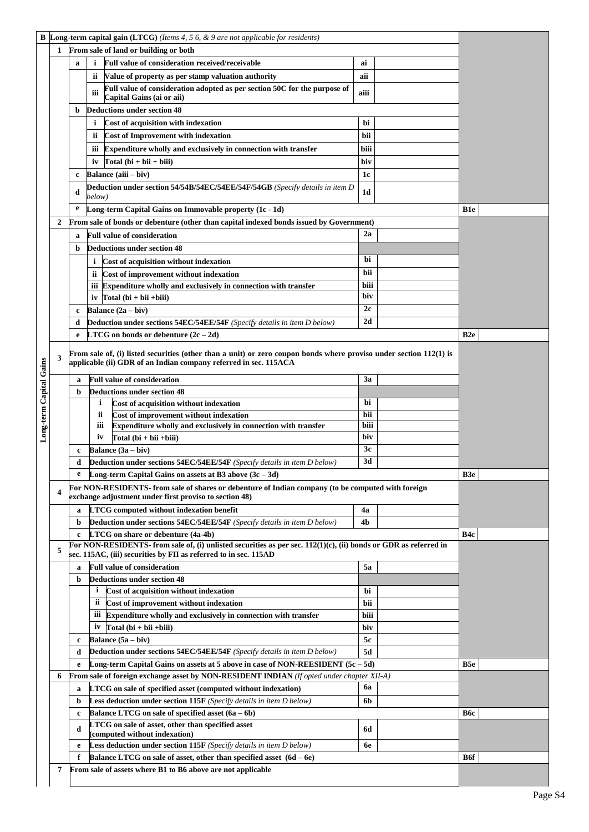| B                       | <b>Long-term capital gain (LTCG)</b> (Items 4, 5 6, $\&$ 9 are not applicable for residents) |                                                                                                                                                                                          |              |                                                                                                                                                                                      |      |  |                 |
|-------------------------|----------------------------------------------------------------------------------------------|------------------------------------------------------------------------------------------------------------------------------------------------------------------------------------------|--------------|--------------------------------------------------------------------------------------------------------------------------------------------------------------------------------------|------|--|-----------------|
|                         | From sale of land or building or both<br>1                                                   |                                                                                                                                                                                          |              |                                                                                                                                                                                      |      |  |                 |
|                         |                                                                                              | a                                                                                                                                                                                        | i            | Full value of consideration received/receivable                                                                                                                                      | ai   |  |                 |
|                         |                                                                                              |                                                                                                                                                                                          | ii.          | Value of property as per stamp valuation authority                                                                                                                                   | aii  |  |                 |
|                         |                                                                                              |                                                                                                                                                                                          |              | Full value of consideration adopted as per section 50C for the purpose of                                                                                                            |      |  |                 |
|                         |                                                                                              |                                                                                                                                                                                          | iii          | Capital Gains (ai or aii)                                                                                                                                                            | aiii |  |                 |
|                         |                                                                                              | b                                                                                                                                                                                        |              | <b>Deductions under section 48</b>                                                                                                                                                   |      |  |                 |
|                         |                                                                                              |                                                                                                                                                                                          | i            | Cost of acquisition with indexation                                                                                                                                                  | bi   |  |                 |
|                         |                                                                                              |                                                                                                                                                                                          | ii.          | Cost of Improvement with indexation                                                                                                                                                  | bii  |  |                 |
|                         |                                                                                              |                                                                                                                                                                                          |              | iii Expenditure wholly and exclusively in connection with transfer                                                                                                                   | biii |  |                 |
|                         |                                                                                              |                                                                                                                                                                                          | iv           | Total $(bi + bi + bi)$                                                                                                                                                               | biv  |  |                 |
|                         |                                                                                              | c                                                                                                                                                                                        |              | Balance (aiii - biv)                                                                                                                                                                 | 1c   |  |                 |
|                         |                                                                                              | d                                                                                                                                                                                        |              | <b>Deduction under section 54/54B/54EC/54EE/54F/54GB</b> (Specify details in item D)                                                                                                 | 1d   |  |                 |
|                         |                                                                                              |                                                                                                                                                                                          | below)       |                                                                                                                                                                                      |      |  |                 |
|                         |                                                                                              | e<br>Long-term Capital Gains on Immovable property (1c - 1d)                                                                                                                             |              |                                                                                                                                                                                      |      |  | B1e             |
|                         | 2                                                                                            |                                                                                                                                                                                          |              | From sale of bonds or debenture (other than capital indexed bonds issued by Government)                                                                                              |      |  |                 |
|                         |                                                                                              | a                                                                                                                                                                                        |              | <b>Full value of consideration</b>                                                                                                                                                   | 2a   |  |                 |
|                         |                                                                                              | b                                                                                                                                                                                        |              | <b>Deductions under section 48</b>                                                                                                                                                   |      |  |                 |
|                         |                                                                                              |                                                                                                                                                                                          | i.           | Cost of acquisition without indexation                                                                                                                                               | bi   |  |                 |
|                         |                                                                                              |                                                                                                                                                                                          |              | ii Cost of improvement without indexation                                                                                                                                            | bii  |  |                 |
|                         |                                                                                              |                                                                                                                                                                                          |              | iii Expenditure wholly and exclusively in connection with transfer                                                                                                                   | biii |  |                 |
|                         |                                                                                              |                                                                                                                                                                                          |              | iv $\Gamma$ otal (bi + bii + biii)                                                                                                                                                   | biv  |  |                 |
|                         |                                                                                              | $\mathbf c$                                                                                                                                                                              |              | <b>Balance</b> $(2a - biv)$                                                                                                                                                          | 2c   |  |                 |
|                         |                                                                                              | d                                                                                                                                                                                        |              | <b>Deduction under sections 54EC/54EE/54F</b> (Specify details in item D below)                                                                                                      | 2d   |  |                 |
|                         |                                                                                              | e                                                                                                                                                                                        |              | <b>LTCG</b> on bonds or debenture $(2c - 2d)$                                                                                                                                        |      |  | B <sub>2e</sub> |
|                         | 3                                                                                            | From sale of, (i) listed securities (other than a unit) or zero coupon bonds where proviso under section $112(1)$ is<br>applicable (ii) GDR of an Indian company referred in sec. 115ACA |              |                                                                                                                                                                                      |      |  |                 |
| Long-term Capital Gains | <b>Full value of consideration</b><br>3a<br>a                                                |                                                                                                                                                                                          |              |                                                                                                                                                                                      |      |  |                 |
|                         |                                                                                              | b                                                                                                                                                                                        |              | <b>Deductions under section 48</b>                                                                                                                                                   |      |  |                 |
|                         |                                                                                              |                                                                                                                                                                                          | <sup>i</sup> | Cost of acquisition without indexation                                                                                                                                               | bi   |  |                 |
|                         |                                                                                              |                                                                                                                                                                                          | ii           | Cost of improvement without indexation                                                                                                                                               | bii  |  |                 |
|                         |                                                                                              |                                                                                                                                                                                          | Ш            | Expenditure wholly and exclusively in connection with transfer                                                                                                                       | biii |  |                 |
|                         |                                                                                              |                                                                                                                                                                                          | iv           | Total (bi + bii + biii)                                                                                                                                                              | biv  |  |                 |
|                         |                                                                                              | c                                                                                                                                                                                        |              | Balance $(3a - biv)$                                                                                                                                                                 | 3c   |  |                 |
|                         |                                                                                              | d                                                                                                                                                                                        |              | <b>Deduction under sections 54EC/54EE/54F</b> (Specify details in item D below)                                                                                                      | 3d   |  |                 |
|                         |                                                                                              | e                                                                                                                                                                                        |              | Long-term Capital Gains on assets at B3 above $(3c - 3d)$                                                                                                                            |      |  | B3e             |
|                         | $\boldsymbol{4}$                                                                             | For NON-RESIDENTS- from sale of shares or debenture of Indian company (to be computed with foreign<br>exchange adjustment under first proviso to section 48)                             |              |                                                                                                                                                                                      |      |  |                 |
|                         |                                                                                              | a                                                                                                                                                                                        |              | <b>LTCG</b> computed without indexation benefit                                                                                                                                      | 4a   |  |                 |
|                         |                                                                                              | b                                                                                                                                                                                        |              | <b>Deduction under sections 54EC/54EE/54F</b> (Specify details in item D below)                                                                                                      | 4b   |  |                 |
|                         |                                                                                              | $\mathbf c$                                                                                                                                                                              |              | <b>LTCG</b> on share or debenture (4a-4b)                                                                                                                                            |      |  | B <sub>4c</sub> |
|                         | 5                                                                                            |                                                                                                                                                                                          |              | For NON-RESIDENTS- from sale of, (i) unlisted securities as per sec. 112(1)(c), (ii) bonds or GDR as referred in<br>sec. 115AC, (iii) securities by FII as referred to in sec. 115AD |      |  |                 |
|                         |                                                                                              | a                                                                                                                                                                                        |              | <b>Full value of consideration</b>                                                                                                                                                   | 5a   |  |                 |
|                         |                                                                                              | b                                                                                                                                                                                        |              | Deductions under section 48                                                                                                                                                          |      |  |                 |
|                         |                                                                                              |                                                                                                                                                                                          | $\mathbf{1}$ | Cost of acquisition without indexation                                                                                                                                               | bi   |  |                 |
|                         |                                                                                              |                                                                                                                                                                                          | ii.          | Cost of improvement without indexation                                                                                                                                               | bii  |  |                 |
|                         |                                                                                              |                                                                                                                                                                                          | ш            | Expenditure wholly and exclusively in connection with transfer                                                                                                                       | biii |  |                 |
|                         |                                                                                              |                                                                                                                                                                                          | iv           | $Total (bi + bii + biii)$                                                                                                                                                            | biv  |  |                 |
|                         |                                                                                              | c                                                                                                                                                                                        |              | <b>Balance</b> $(5a - biv)$                                                                                                                                                          | 5c   |  |                 |
|                         |                                                                                              | d                                                                                                                                                                                        |              | <b>Deduction under sections 54EC/54EE/54F</b> (Specify details in item D below)                                                                                                      | 5d   |  |                 |
|                         |                                                                                              | e                                                                                                                                                                                        |              | Long-term Capital Gains on assets at 5 above in case of NON-REESIDENT $(5c - 5d)$                                                                                                    |      |  | B5e             |
|                         | 6                                                                                            |                                                                                                                                                                                          |              | <b>From sale of foreign exchange asset by NON-RESIDENT INDIAN</b> (If opted under chapter XII-A)                                                                                     |      |  |                 |
|                         |                                                                                              | a                                                                                                                                                                                        |              | <b>LTCG</b> on sale of specified asset (computed without indexation)                                                                                                                 | 6a   |  |                 |
|                         |                                                                                              | b                                                                                                                                                                                        |              | <b>Less deduction under section 115F</b> (Specify details in item D below)                                                                                                           | 6b   |  |                 |
|                         |                                                                                              | c                                                                                                                                                                                        |              | Balance LTCG on sale of specified asset $(6a - 6b)$                                                                                                                                  |      |  | Вбс             |
|                         |                                                                                              | d                                                                                                                                                                                        |              | LTCG on sale of asset, other than specified asset                                                                                                                                    | 6d   |  |                 |
|                         |                                                                                              |                                                                                                                                                                                          |              | (computed without indexation)                                                                                                                                                        |      |  |                 |
|                         |                                                                                              | e                                                                                                                                                                                        |              | <b>Less deduction under section 115F</b> (Specify details in item D below)                                                                                                           | 6e   |  |                 |
|                         |                                                                                              | f                                                                                                                                                                                        |              | Balance LTCG on sale of asset, other than specified asset $(6d - 6e)$<br>From sale of assets where B1 to B6 above are not applicable                                                 |      |  | B6f             |
|                         | 7                                                                                            |                                                                                                                                                                                          |              |                                                                                                                                                                                      |      |  |                 |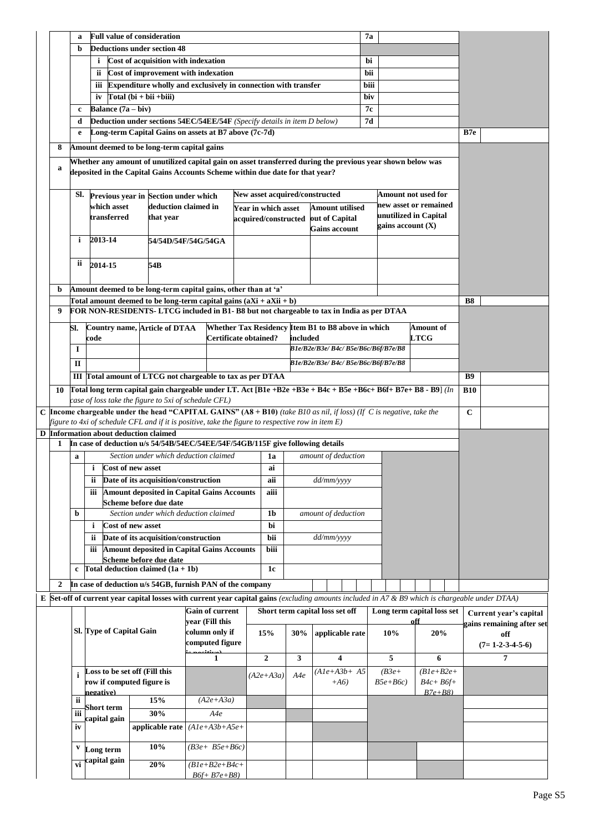|                                                            | a                         |                           | <b>Full value of consideration</b>                                                                                                                |                        |  |                                                    |          |                | 7a                                   |                       |                                              |             |                           |
|------------------------------------------------------------|---------------------------|---------------------------|---------------------------------------------------------------------------------------------------------------------------------------------------|------------------------|--|----------------------------------------------------|----------|----------------|--------------------------------------|-----------------------|----------------------------------------------|-------------|---------------------------|
|                                                            | b                         |                           | <b>Deductions under section 48</b>                                                                                                                |                        |  |                                                    |          |                |                                      |                       |                                              |             |                           |
|                                                            |                           | $\mathbf{i}$              | Cost of acquisition with indexation                                                                                                               |                        |  |                                                    |          |                |                                      | bi                    |                                              |             |                           |
|                                                            |                           | ii.                       | Cost of improvement with indexation                                                                                                               |                        |  |                                                    |          |                |                                      | bii                   |                                              |             |                           |
|                                                            |                           | iii                       | Expenditure wholly and exclusively in connection with transfer                                                                                    |                        |  |                                                    |          |                |                                      | biii                  |                                              |             |                           |
|                                                            |                           | iv                        | $Total (bi + bii + biii)$                                                                                                                         |                        |  |                                                    |          |                |                                      | biv                   |                                              |             |                           |
|                                                            | c                         | Balance $(7a - biv)$      |                                                                                                                                                   |                        |  |                                                    |          |                |                                      | 7с                    |                                              |             |                           |
|                                                            | d                         |                           | Deduction under sections 54EC/54EE/54F (Specify details in item D below)                                                                          |                        |  |                                                    |          |                |                                      | 7d                    |                                              |             |                           |
|                                                            | e                         |                           | Long-term Capital Gains on assets at B7 above (7c-7d)                                                                                             |                        |  |                                                    |          |                |                                      |                       |                                              | B7e         |                           |
| 8                                                          |                           |                           | Amount deemed to be long-term capital gains                                                                                                       |                        |  |                                                    |          |                |                                      |                       |                                              |             |                           |
|                                                            |                           |                           | Whether any amount of unutilized capital gain on asset transferred during the previous year shown below was                                       |                        |  |                                                    |          |                |                                      |                       |                                              |             |                           |
| a                                                          |                           |                           | deposited in the Capital Gains Accounts Scheme within due date for that year?                                                                     |                        |  |                                                    |          |                |                                      |                       |                                              |             |                           |
|                                                            | SI.                       |                           | Previous year in Section under which                                                                                                              |                        |  | New asset acquired/constructed                     |          |                |                                      |                       | Amount not used for                          |             |                           |
|                                                            |                           | which asset               | deduction claimed in                                                                                                                              |                        |  | Year in which asset                                |          |                | <b>Amount utilised</b>               |                       | new asset or remained                        |             |                           |
|                                                            |                           | transferred               | that year                                                                                                                                         |                        |  | acquired/constructed                               |          | out of Capital |                                      |                       | unutilized in Capital<br>gains account $(X)$ |             |                           |
|                                                            | i                         | 2013-14                   |                                                                                                                                                   |                        |  |                                                    |          |                | <b>Gains account</b>                 |                       |                                              |             |                           |
|                                                            |                           |                           |                                                                                                                                                   | 54/54D/54F/54G/54GA    |  |                                                    |          |                |                                      |                       |                                              |             |                           |
|                                                            | ii                        | 2014-15                   | 54B                                                                                                                                               |                        |  |                                                    |          |                |                                      |                       |                                              |             |                           |
|                                                            |                           |                           |                                                                                                                                                   |                        |  |                                                    |          |                |                                      |                       |                                              |             |                           |
| b                                                          |                           |                           | Amount deemed to be long-term capital gains, other than at 'a'                                                                                    |                        |  |                                                    |          |                |                                      |                       |                                              |             |                           |
|                                                            |                           |                           | Total amount deemed to be long-term capital gains $(aXi + aXi + b)$                                                                               |                        |  |                                                    |          |                |                                      |                       |                                              | B8          |                           |
| 9                                                          |                           |                           | FOR NON-RESIDENTS-LTCG included in B1-B8 but not chargeable to tax in India as per DTAA                                                           |                        |  |                                                    |          |                |                                      |                       |                                              |             |                           |
|                                                            | SI.                       |                           | Country name, Article of DTAA                                                                                                                     |                        |  | Whether Tax Residency Item B1 to B8 above in which |          |                |                                      |                       | <b>Amount of</b>                             |             |                           |
|                                                            |                           | code                      |                                                                                                                                                   | Certificate obtained?  |  |                                                    | included |                |                                      |                       | $_{\rm LTCG}$                                |             |                           |
|                                                            | 1                         |                           |                                                                                                                                                   |                        |  |                                                    |          |                | B1e/B2e/B3e/B4c/B5e/B6c/B6f/B7e/B8   |                       |                                              |             |                           |
|                                                            | П                         |                           |                                                                                                                                                   |                        |  |                                                    |          |                | B1e/B2e/B3e/ B4c/ B5e/B6c/B6f/B7e/B8 |                       |                                              |             |                           |
| III Total amount of LTCG not chargeable to tax as per DTAA |                           |                           |                                                                                                                                                   |                        |  |                                                    |          |                | <b>B9</b>                            |                       |                                              |             |                           |
| 10                                                         |                           |                           | Total long term capital gain chargeable under I.T. Act [B1e +B2e +B3e + B4c + B5e +B6c+ B6f+ B7e+ B8 - B9] (In                                    |                        |  |                                                    |          |                |                                      |                       |                                              | <b>B10</b>  |                           |
| case of loss take the figure to 5xi of schedule CFL)       |                           |                           |                                                                                                                                                   |                        |  |                                                    |          |                |                                      |                       |                                              |             |                           |
|                                                            |                           |                           | C Income chargeable under the head "CAPITAL GAINS" (A8 + B10) (take B10 as nil, if loss) (If C is negative, take the                              |                        |  |                                                    |          |                |                                      |                       |                                              | $\mathbf C$ |                           |
|                                                            |                           |                           | figure to 4xi of schedule CFL and if it is positive, take the figure to respective row in item $E$ )<br>D Information about deduction claimed     |                        |  |                                                    |          |                |                                      |                       |                                              |             |                           |
| 1                                                          |                           |                           | In case of deduction u/s 54/54B/54EC/54EE/54F/54GB/115F give following details                                                                    |                        |  |                                                    |          |                |                                      |                       |                                              |             |                           |
|                                                            | $\mathbf a$               |                           | Section under which deduction claimed                                                                                                             |                        |  | 1a                                                 |          |                | amount of deduction                  |                       |                                              |             |                           |
|                                                            |                           | i                         | <b>Cost of new asset</b>                                                                                                                          |                        |  | ai                                                 |          |                |                                      |                       |                                              |             |                           |
|                                                            |                           | ii                        | Date of its acquisition/construction                                                                                                              |                        |  | aii                                                |          | dd/mm/yyyy     |                                      |                       |                                              |             |                           |
|                                                            |                           | iii                       | <b>Amount deposited in Capital Gains Accounts</b>                                                                                                 |                        |  | aiii                                               |          |                |                                      |                       |                                              |             |                           |
|                                                            |                           |                           | Scheme before due date                                                                                                                            |                        |  |                                                    |          |                |                                      |                       |                                              |             |                           |
|                                                            | b                         | $\mathbf{i}$              | Section under which deduction claimed<br>Cost of new asset                                                                                        |                        |  | 1 <sub>b</sub><br>bi                               |          |                | amount of deduction                  |                       |                                              |             |                           |
|                                                            |                           |                           | Date of its acquisition/construction                                                                                                              |                        |  | bii                                                |          | dd/mm/yyyy     |                                      |                       |                                              |             |                           |
|                                                            |                           | ii.<br>iii                | <b>Amount deposited in Capital Gains Accounts</b>                                                                                                 |                        |  | biii                                               |          |                |                                      |                       |                                              |             |                           |
|                                                            |                           |                           | Scheme before due date                                                                                                                            |                        |  |                                                    |          |                |                                      |                       |                                              |             |                           |
|                                                            | $\mathbf c$               |                           | Total deduction claimed $(1a + 1b)$                                                                                                               |                        |  | 1c                                                 |          |                |                                      |                       |                                              |             |                           |
| 2                                                          |                           |                           | In case of deduction u/s 54GB, furnish PAN of the company                                                                                         |                        |  |                                                    |          |                |                                      |                       |                                              |             |                           |
|                                                            |                           |                           | $E$ Set-off of current year capital losses with current year capital gains (excluding amounts included in A7 & B9 which is chargeable under DTAA) |                        |  |                                                    |          |                |                                      |                       |                                              |             |                           |
|                                                            |                           |                           |                                                                                                                                                   | <b>Gain of current</b> |  | Short term capital loss set off                    |          |                |                                      |                       | Long term capital loss set                   |             | Current year's capital    |
|                                                            |                           |                           |                                                                                                                                                   | vear (Fill this        |  |                                                    |          |                |                                      |                       | off                                          |             | gains remaining after set |
|                                                            |                           | Sl. Type of Capital Gain  |                                                                                                                                                   | column only if         |  | 15%                                                | 30%      |                | applicable rate                      | 10%                   | 20%                                          |             | off                       |
|                                                            |                           | computed figure           |                                                                                                                                                   |                        |  |                                                    |          |                |                                      |                       | $(7=1-2-3-4-5-6)$                            |             |                           |
|                                                            |                           |                           |                                                                                                                                                   | $\mathbf{1}$           |  | $\boldsymbol{2}$                                   | 3        |                | 4                                    | 5                     | 6                                            |             | 7                         |
|                                                            |                           | row if computed figure is | Loss to be set off (Fill this                                                                                                                     |                        |  | $(A2e+A3a)$                                        | A4e      |                | $(A1e+A3b+A5$<br>$+A6$               | $(B3e+$<br>$B5e+ B6c$ | $(B1e+B2e+$<br>$B4c + B6f+$                  |             |                           |
|                                                            |                           | negative)                 |                                                                                                                                                   |                        |  |                                                    |          |                |                                      |                       | $B7e+B8$                                     |             |                           |
|                                                            | ii                        | Short term                | 15%                                                                                                                                               | $(A2e+A3a)$            |  |                                                    |          |                |                                      |                       |                                              |             |                           |
|                                                            | iii                       | capital gain              | 30%                                                                                                                                               | A4e                    |  |                                                    |          |                |                                      |                       |                                              |             |                           |
|                                                            | iv                        |                           | applicable rate                                                                                                                                   | $(A1e+A3b+A5e+$        |  |                                                    |          |                |                                      |                       |                                              |             |                           |
|                                                            | $\mathbf v$               |                           | 10%                                                                                                                                               | $(B3e+B5e+B6c)$        |  |                                                    |          |                |                                      |                       |                                              |             |                           |
|                                                            |                           | Long term<br>capital gain |                                                                                                                                                   |                        |  |                                                    |          |                |                                      |                       |                                              |             |                           |
|                                                            | $\overline{\mathbf{v}}$ i |                           | 20%                                                                                                                                               | $(B1e+B2e+B4c+$        |  |                                                    |          |                |                                      |                       |                                              |             |                           |
|                                                            |                           |                           |                                                                                                                                                   | $B6f + B7e + B8$       |  |                                                    |          |                |                                      |                       |                                              |             |                           |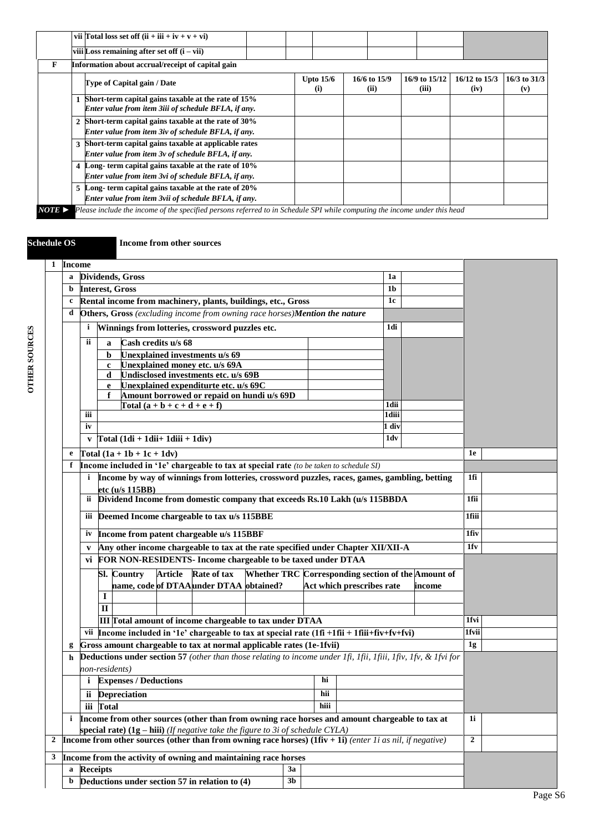|                       |              | vii Total loss set off $(ii + iii + iv + v + vi)$                                                                         |  |                               |                      |                        |                       |                         |
|-----------------------|--------------|---------------------------------------------------------------------------------------------------------------------------|--|-------------------------------|----------------------|------------------------|-----------------------|-------------------------|
|                       |              | viii Loss remaining after set off $(i - vii)$                                                                             |  |                               |                      |                        |                       |                         |
| F                     |              | Information about accrual/receipt of capital gain                                                                         |  |                               |                      |                        |                       |                         |
|                       |              | Type of Capital gain / Date                                                                                               |  | <b>Upto 15/6</b><br>$\bf (i)$ | 16/6 to 15/9<br>(ii) | 16/9 to 15/12<br>(iii) | 16/12 to 15/3<br>(iv) | $16/3$ to $31/3$<br>(v) |
|                       |              | 1 Short-term capital gains taxable at the rate of 15%<br>Enter value from item 3iii of schedule BFLA, if any.             |  |                               |                      |                        |                       |                         |
|                       | $\mathbf{2}$ | Short-term capital gains taxable at the rate of 30%<br>Enter value from item 3iv of schedule BFLA, if any.                |  |                               |                      |                        |                       |                         |
|                       | 3            | Short-term capital gains taxable at applicable rates<br>Enter value from item 3v of schedule BFLA, if any.                |  |                               |                      |                        |                       |                         |
|                       |              | 4 Long-term capital gains taxable at the rate of 10%<br>Enter value from item 3vi of schedule BFLA, if any.               |  |                               |                      |                        |                       |                         |
|                       |              | 5 Long-term capital gains taxable at the rate of 20%<br>Enter value from item 3vii of schedule BFLA, if any.              |  |                               |                      |                        |                       |                         |
| $NOTE \triangleright$ |              | Please include the income of the specified persons referred to in Schedule SPI while computing the income under this head |  |                               |                      |                        |                       |                         |

**Schedule OS Income from other sources**

|                                                                     | 1 Income                                                                                                         |                                                                                                                                            |       |
|---------------------------------------------------------------------|------------------------------------------------------------------------------------------------------------------|--------------------------------------------------------------------------------------------------------------------------------------------|-------|
|                                                                     | $\mathbf a$                                                                                                      | 1a                                                                                                                                         |       |
|                                                                     |                                                                                                                  | Dividends, Gross<br>1 <sub>b</sub>                                                                                                         |       |
|                                                                     | b                                                                                                                | <b>Interest, Gross</b><br>1c                                                                                                               |       |
|                                                                     | c                                                                                                                | Rental income from machinery, plants, buildings, etc., Gross<br>Others, Gross (excluding income from owning race horses)Mention the nature |       |
|                                                                     | d                                                                                                                |                                                                                                                                            |       |
|                                                                     |                                                                                                                  | Winnings from lotteries, crossword puzzles etc.<br>1di<br>i.                                                                               |       |
|                                                                     |                                                                                                                  | Cash credits u/s 68<br>ii.<br>a                                                                                                            |       |
|                                                                     |                                                                                                                  | <b>Unexplained investments u/s 69</b><br>b.                                                                                                |       |
|                                                                     |                                                                                                                  | Unexplained money etc. u/s 69A<br>$\mathbf{c}$                                                                                             |       |
|                                                                     |                                                                                                                  | Undisclosed investments etc. u/s 69B<br>d                                                                                                  |       |
|                                                                     |                                                                                                                  | Unexplained expenditurte etc. u/s 69C<br>e<br>Amount borrowed or repaid on hundi u/s 69D<br>f                                              |       |
|                                                                     |                                                                                                                  | $\int \text{Total} (a + b + c + d + e + f)$<br>1dii                                                                                        |       |
|                                                                     |                                                                                                                  | 1diii<br>iii                                                                                                                               |       |
|                                                                     |                                                                                                                  | 1 div<br>iv                                                                                                                                |       |
|                                                                     |                                                                                                                  | $Total (1di + 1dii + 1diii + 1div)$<br>1dv<br>V                                                                                            |       |
|                                                                     | e                                                                                                                | $\boxed{\text{Total} (1a + 1b + 1c + 1dv)}$                                                                                                | 1e    |
|                                                                     | f                                                                                                                | Income included in '1e' chargeable to tax at special rate (to be taken to schedule SI)                                                     |       |
|                                                                     |                                                                                                                  | Income by way of winnings from lotteries, crossword puzzles, races, games, gambling, betting<br>i.                                         | 1fi   |
|                                                                     |                                                                                                                  | etc (u/s 115BB)                                                                                                                            |       |
|                                                                     |                                                                                                                  | ii Dividend Income from domestic company that exceeds Rs.10 Lakh (u/s 115BBDA                                                              | 1fii  |
|                                                                     |                                                                                                                  |                                                                                                                                            |       |
|                                                                     |                                                                                                                  | Deemed Income chargeable to tax u/s 115BBE<br>iii                                                                                          | 1fiii |
|                                                                     |                                                                                                                  | Income from patent chargeable u/s 115BBF<br>iv                                                                                             | 1fiv  |
|                                                                     |                                                                                                                  | Any other income chargeable to tax at the rate specified under Chapter XII/XII-A<br>V                                                      | 1fv   |
|                                                                     |                                                                                                                  | vi FOR NON-RESIDENTS- Income chargeable to be taxed under DTAA                                                                             |       |
|                                                                     |                                                                                                                  | Rate of tax<br>Whether TRC Corresponding section of the Amount of<br><b>Article</b><br><b>Sl.</b> Country                                  |       |
|                                                                     |                                                                                                                  | name, code of DTAA under DTAA obtained?<br>Act which prescribes rate<br>income                                                             |       |
|                                                                     |                                                                                                                  | I                                                                                                                                          |       |
|                                                                     |                                                                                                                  | $\Pi$                                                                                                                                      |       |
|                                                                     |                                                                                                                  | III Total amount of income chargeable to tax under DTAA                                                                                    | 1fvi  |
|                                                                     |                                                                                                                  | vii  Income included in '1e' chargeable to tax at special rate $(1fi + 1fii + 1fiii + fiv + fv + fvi)$                                     | 1fvii |
|                                                                     | g                                                                                                                | Gross amount chargeable to tax at normal applicable rates (1e-1fvii)                                                                       | 1g    |
|                                                                     | h                                                                                                                | <b>Deductions under section 57</b> (other than those relating to income under 1fi, 1fii, 1fii, 1fiv, 1fv, & 1fvi for                       |       |
|                                                                     |                                                                                                                  | non-residents)                                                                                                                             |       |
|                                                                     |                                                                                                                  | hi<br><i>i</i> Expenses / Deductions                                                                                                       |       |
|                                                                     |                                                                                                                  | ii Depreciation<br>hii                                                                                                                     |       |
|                                                                     |                                                                                                                  | iii Total<br>hiii                                                                                                                          |       |
|                                                                     | i                                                                                                                | Income from other sources (other than from owning race horses and amount chargeable to tax at                                              | 1i    |
|                                                                     |                                                                                                                  |                                                                                                                                            |       |
|                                                                     | <b>Income from other sources (other than from owning race horses) (1fiv + 1i)</b> (enter 1i as nil, if negative) | $\mathbf{2}$                                                                                                                               |       |
|                                                                     |                                                                                                                  |                                                                                                                                            |       |
| 3<br>Income from the activity of owning and maintaining race horses |                                                                                                                  |                                                                                                                                            |       |
|                                                                     | a                                                                                                                | 3a<br><b>Receipts</b>                                                                                                                      |       |
|                                                                     | b                                                                                                                | Deductions under section 57 in relation to (4)<br>3 <sub>b</sub>                                                                           |       |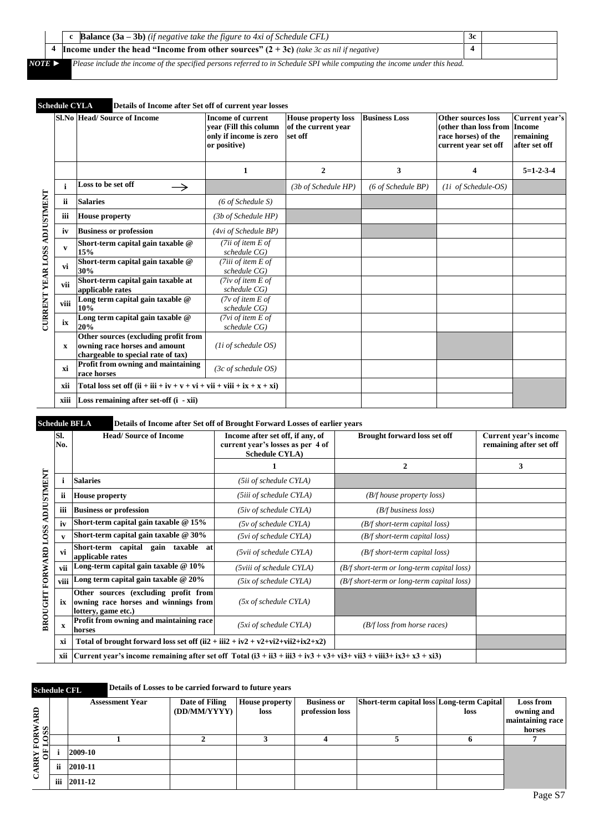|        | <b>c Balance</b> $(3a - 3b)$ (if negative take the figure to 4xi of Schedule CFL)                                          | 3c |  |
|--------|----------------------------------------------------------------------------------------------------------------------------|----|--|
|        | <b>Income under the head "Income from other sources" (2 + 3c)</b> (take 3c as nil if negative)                             |    |  |
| NOTE 1 | Please include the income of the specified persons referred to in Schedule SPI while computing the income under this head. |    |  |

# **Schedule CYLA Details of Income after Set off of current year losses**

|                                     |      | SLNo Head/Source of Income                                                                                  | <b>Income of current</b><br>vear (Fill this column<br>only if income is zero<br>or positive) | <b>House property loss</b><br>of the current year<br>set off | <b>Business Loss</b>         | Other sources loss<br>(other than loss from Income<br>race horses) of the<br>current year set off | Current year's<br>remaining<br>after set off |
|-------------------------------------|------|-------------------------------------------------------------------------------------------------------------|----------------------------------------------------------------------------------------------|--------------------------------------------------------------|------------------------------|---------------------------------------------------------------------------------------------------|----------------------------------------------|
|                                     |      |                                                                                                             | 1                                                                                            | $\overline{2}$                                               | 3                            | 4                                                                                                 | $5=1-2-3-4$                                  |
|                                     |      | Loss to be set off<br>$\rightarrow$                                                                         |                                                                                              | (3b of Schedule HP)                                          | $(6 \text{ of Schedule BP})$ | (1i of Schedule-OS)                                                                               |                                              |
|                                     | ii   | <b>Salaries</b>                                                                                             | $(6 \text{ of Schedule S})$                                                                  |                                                              |                              |                                                                                                   |                                              |
|                                     | iii  | <b>House property</b>                                                                                       | (3b of Schedule HP)                                                                          |                                                              |                              |                                                                                                   |                                              |
|                                     | iv   | <b>Business or profession</b>                                                                               | (4vi) of Schedule BP)                                                                        |                                                              |                              |                                                                                                   |                                              |
| <b>CURRENT YEAR LOSS ADJUSTMENT</b> | v    | Short-term capital gain taxable @<br>15%                                                                    | (7ii of item $E$ of<br>schedule CG)                                                          |                                                              |                              |                                                                                                   |                                              |
|                                     | vi   | Short-term capital gain taxable @<br>30%                                                                    | (7iii of item $E$ of<br>schedule CG)                                                         |                                                              |                              |                                                                                                   |                                              |
|                                     | vii  | Short-term capital gain taxable at<br>applicable rates                                                      | (7iv of item $E$ of<br>schedule CG)                                                          |                                                              |                              |                                                                                                   |                                              |
|                                     | viii | Long term capital gain taxable @<br>10%                                                                     | ( $7v$ of item E of<br>schedule CG)                                                          |                                                              |                              |                                                                                                   |                                              |
|                                     | ix   | Long term capital gain taxable @<br>20%                                                                     | ( $7vi$ of item $E$ of<br>schedule CG)                                                       |                                                              |                              |                                                                                                   |                                              |
|                                     | X    | Other sources (excluding profit from<br>owning race horses and amount<br>chargeable to special rate of tax) | $(1i$ of schedule OS)                                                                        |                                                              |                              |                                                                                                   |                                              |
|                                     | xi   | Profit from owning and maintaining<br>race horses                                                           | $(3c \text{ of schedule } OS)$                                                               |                                                              |                              |                                                                                                   |                                              |
|                                     | xii  | Total loss set off $(ii + iii + iv + v + vi + vii + viii + ix + x + xi)$                                    |                                                                                              |                                                              |                              |                                                                                                   |                                              |
|                                     | xiii | <b>Loss remaining after set-off <math>(i - xii)</math></b>                                                  |                                                                                              |                                                              |                              |                                                                                                   |                                              |

## **Schedule BFLA Details of Income after Set off of Brought Forward Losses of earlier years**

|                             | SI.<br>No.   | <b>Head/Source of Income</b>                                                                                         | Income after set off, if any, of<br>current year's losses as per 4 of<br><b>Schedule CYLA</b> ) | <b>Brought forward loss set off</b>        | Current year's income<br>remaining after set off |
|-----------------------------|--------------|----------------------------------------------------------------------------------------------------------------------|-------------------------------------------------------------------------------------------------|--------------------------------------------|--------------------------------------------------|
|                             |              |                                                                                                                      |                                                                                                 | $\overline{2}$                             | 3                                                |
| <b>ADJUSTMENT</b>           |              | <b>Salaries</b>                                                                                                      | (5ii of schedule CYLA)                                                                          |                                            |                                                  |
|                             | ii           | <b>House property</b>                                                                                                | (5iii of schedule CYLA)                                                                         | (B/f house property loss)                  |                                                  |
|                             | iii          | <b>Business or profession</b>                                                                                        | (5iv of schedule CYLA)                                                                          | $(B/f)$ business loss)                     |                                                  |
|                             | iv           | Short-term capital gain taxable $@15\%$                                                                              | $(5v \text{ of schedule CYLA})$                                                                 | $(B/f \, short-term \, capital \, loss)$   |                                                  |
|                             | $\mathbf{v}$ | Short-term capital gain taxable $@30\%$                                                                              | (5vi of schedule CYLA)                                                                          | $(B/f \, short-term \, capital \, loss)$   |                                                  |
|                             | vi           | Short-term capital gain taxable at<br>applicable rates                                                               | (5vii of schedule CYLA)                                                                         | $(B/f \, short-term \, capital \, loss)$   |                                                  |
|                             | vii          | Long-term capital gain taxable $@10\%$                                                                               | (5viii of schedule CYLA)                                                                        | (B/f short-term or long-term capital loss) |                                                  |
|                             | viii         | Long term capital gain taxable @ 20%                                                                                 | (5ix of schedule CYLA)                                                                          | (B/f short-term or long-term capital loss) |                                                  |
| <b>BROUGHT FORWARD LOSS</b> | ix           | Other sources (excluding profit from<br>owning race horses and winnings from<br>lottery, game etc.)                  | $(5x \text{ of schedule CYLA})$                                                                 |                                            |                                                  |
|                             | $\mathbf{x}$ | Profit from owning and maintaining race<br>horses                                                                    | (5xi of schedule CYLA)                                                                          | $(B/f \text{loss from horse races})$       |                                                  |
|                             | xi           | Total of brought forward loss set off $(ii2 + iii2 + iv2 + v2 + vi2 + vi2 + ix2 + x2)$                               |                                                                                                 |                                            |                                                  |
|                             | xii          | Current year's income remaining after set off Total $(i3 + ii3 + iii3 + iv3 + v3 + vi3 + vi3 + vi3 + ix3 + x3 + x3)$ |                                                                                                 |                                            |                                                  |

## **Schedule CFL Details of Losses to be carried forward to future years**

|                         |    | <b>Assessment Year</b> | Date of Filing | <b>House property</b> | <b>Business or</b> | Short-term capital loss Long-term Capital |      | <b>Loss from</b> |
|-------------------------|----|------------------------|----------------|-----------------------|--------------------|-------------------------------------------|------|------------------|
| ARD                     |    |                        | (DD/MM/YYYY)   | loss                  | profession loss    |                                           | loss | owning and       |
|                         |    |                        |                |                       |                    |                                           |      | maintaining race |
|                         |    |                        |                |                       |                    |                                           |      | horses           |
| FORW <sub>A</sub>       |    |                        |                |                       |                    |                                           |      |                  |
| $\frac{\rm dE}{\rm dE}$ |    | 2009-10                |                |                       |                    |                                           |      |                  |
| రే                      | ii | 2010-11                |                |                       |                    |                                           |      |                  |
|                         |    | iii 2011-12            |                |                       |                    |                                           |      |                  |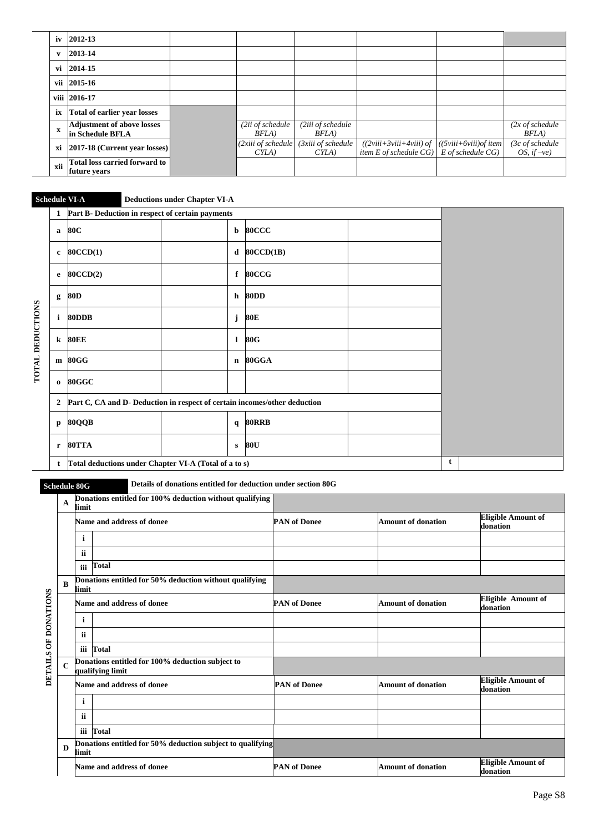| iv           | 2012-13                                                |                                |                            |                                                                                                    |                                              |
|--------------|--------------------------------------------------------|--------------------------------|----------------------------|----------------------------------------------------------------------------------------------------|----------------------------------------------|
| $\mathbf{v}$ | 2013-14                                                |                                |                            |                                                                                                    |                                              |
| vi           | 2014-15                                                |                                |                            |                                                                                                    |                                              |
|              | vii 2015-16                                            |                                |                            |                                                                                                    |                                              |
|              | viii 2016-17                                           |                                |                            |                                                                                                    |                                              |
| ix           | <b>Total of earlier year losses</b>                    |                                |                            |                                                                                                    |                                              |
| $\mathbf x$  | <b>Adjustment of above losses</b><br> in Schedule BFLA | (2ii of schedule<br>BFLA)      | (2iii of schedule<br>BFLA) |                                                                                                    | $(2x \text{ of schedule})$<br>BFLA)          |
| хi           | 2017-18 (Current year losses)                          | (2xiii of schedule<br>$CYLA$ ) | (3xiii of schedule<br>CYLA | $((2viii+3viii+4viii)$ of $((5viii+6viii)$ of item<br>item E of schedule $CG$   E of schedule $CG$ | $(3c \text{ of schedule})$<br>OS, if $-ve$ ) |
| xii          | <b>Total loss carried forward to</b><br>future years   |                                |                            |                                                                                                    |                                              |

# **Schedule VI-A Deductions under Chapter VI-A**

|                         |                | 1 Part B- Deduction in respect of certain payments                        |              |                  |   |  |  |  |  |
|-------------------------|----------------|---------------------------------------------------------------------------|--------------|------------------|---|--|--|--|--|
|                         | a              | 80C                                                                       | b            | <b>80CCC</b>     |   |  |  |  |  |
|                         | $\bf c$        | <b>80CCD(1)</b>                                                           | d            | <b>80CCD(1B)</b> |   |  |  |  |  |
|                         | e              | <b>80CCD(2)</b>                                                           | $\mathbf f$  | 80CCG            |   |  |  |  |  |
|                         | g              | 80D                                                                       | h            | <b>80DD</b>      |   |  |  |  |  |
| <b>TOTAL DEDUCTIONS</b> | $\mathbf{i}$   | 80DDB                                                                     | j            | 80E              |   |  |  |  |  |
|                         | $\bf k$        | <b>80EE</b>                                                               | 1            | 80G              |   |  |  |  |  |
|                         |                | m 80GG                                                                    |              | n 80GGA          |   |  |  |  |  |
|                         | $\mathbf{o}$   | 80GGC                                                                     |              |                  |   |  |  |  |  |
|                         | $\overline{2}$ | Part C, CA and D- Deduction in respect of certain incomes/other deduction |              |                  |   |  |  |  |  |
|                         | $\mathbf{p}$   | 80QQB                                                                     | $\mathbf{q}$ | <b>80RRB</b>     |   |  |  |  |  |
|                         | $\mathbf{r}$   | 80TTA                                                                     | $\mathbf{s}$ | 80U              |   |  |  |  |  |
|                         | t              | Total deductions under Chapter VI-A (Total of a to s)                     |              |                  | t |  |  |  |  |

**Schedule 80G Details of donations entitled for deduction under section 80G**

|                      | $\mathbf A$ | limit     | Donations entitled for 100% deduction without qualifying             |                     |                           |                                       |
|----------------------|-------------|-----------|----------------------------------------------------------------------|---------------------|---------------------------|---------------------------------------|
|                      |             |           | Name and address of donee                                            | <b>PAN of Donee</b> | <b>Amount of donation</b> | <b>Eligible Amount of</b><br>donation |
|                      |             | i         |                                                                      |                     |                           |                                       |
|                      |             | <b>ii</b> |                                                                      |                     |                           |                                       |
|                      |             | iii       | Total                                                                |                     |                           |                                       |
|                      | B           | limit     | Donations entitled for 50% deduction without qualifying              |                     |                           |                                       |
|                      |             |           | Name and address of donee                                            | <b>PAN</b> of Donee | <b>Amount of donation</b> | <b>Eligible Amount of</b><br>donation |
|                      |             | i         |                                                                      |                     |                           |                                       |
|                      |             | ii.       |                                                                      |                     |                           |                                       |
|                      |             | iii       | Total                                                                |                     |                           |                                       |
| DETAILS OF DONATIONS | $\mathbf C$ |           | Donations entitled for 100% deduction subject to<br>qualifying limit |                     |                           |                                       |
|                      |             |           | Name and address of donee                                            | <b>PAN of Donee</b> | <b>Amount of donation</b> | <b>Eligible Amount of</b><br>donation |
|                      |             | i         |                                                                      |                     |                           |                                       |
|                      |             | ii.       |                                                                      |                     |                           |                                       |
|                      |             | iii       | <b>Total</b>                                                         |                     |                           |                                       |
|                      | D           | limit     | Donations entitled for 50% deduction subject to qualifying           |                     |                           |                                       |
|                      |             |           | Name and address of donee                                            | <b>PAN of Donee</b> | <b>Amount of donation</b> | <b>Eligible Amount of</b><br>donation |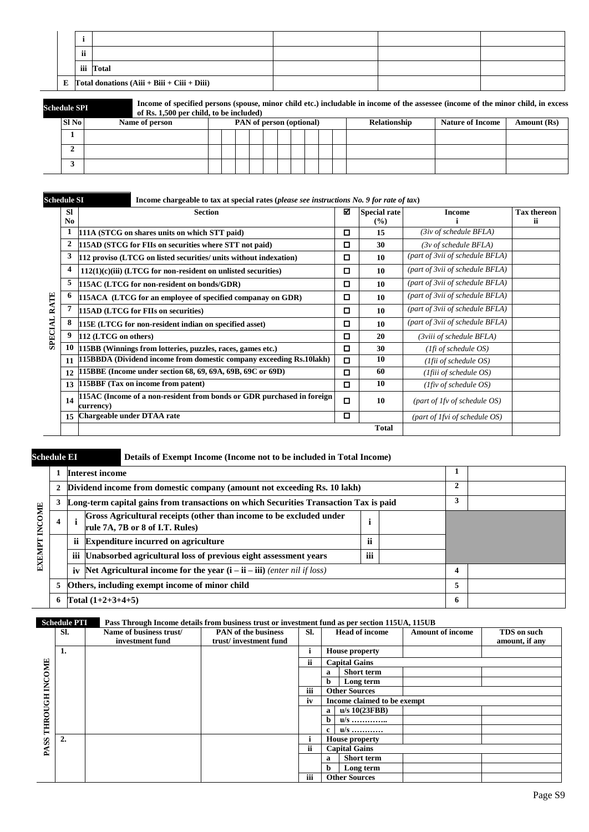| ii |                                                       |  |  |
|----|-------------------------------------------------------|--|--|
|    | iii Total                                             |  |  |
|    | E $\Gamma$ otal donations (Aiii + Biii + Ciii + Diii) |  |  |

| Schedule SPI |  |
|--------------|--|
|              |  |
|              |  |

**Schedule SPI Income of specified persons (spouse, minor child etc.) includable in income of the assessee (income of the minor child, in excess of Rs. 1,500 per child, to be included)** 

| Sl No | Name of person | <b>PAN</b> of person (optional) |  |  |  |  |  |  | Relationship | <b>Nature of Income</b> | Amount (Rs) |
|-------|----------------|---------------------------------|--|--|--|--|--|--|--------------|-------------------------|-------------|
|       |                |                                 |  |  |  |  |  |  |              |                         |             |
| ∸     |                |                                 |  |  |  |  |  |  |              |                         |             |
|       |                |                                 |  |  |  |  |  |  |              |                         |             |

| <b>Schedule SI</b> |                  | Income chargeable to tax at special rates (please see instructions $No. 9$ for rate of tax) |        |                            |                                   |                          |
|--------------------|------------------|---------------------------------------------------------------------------------------------|--------|----------------------------|-----------------------------------|--------------------------|
|                    | <b>SI</b><br>No. | <b>Section</b>                                                                              | ⊠      | <b>Special rate</b><br>(%) | <b>Income</b>                     | <b>Tax thereon</b><br>ii |
|                    | 1                | 111A (STCG on shares units on which STT paid)                                               | о      | 15                         | $(3iv$ of schedule BFLA)          |                          |
|                    | 2                | 115AD (STCG for FIIs on securities where STT not paid)                                      | о      | 30                         | (3v of schedule BFLA)             |                          |
|                    | 3                | 112 proviso (LTCG on listed securities/ units without indexation)                           | П      | 10                         | (part of 3vii of schedule BFLA)   |                          |
|                    | 4                | $112(1)(c)(iii)$ (LTCG for non-resident on unlisted securities)                             | о      | 10                         | (part of 3vii of schedule BFLA)   |                          |
|                    | 5                | 115AC (LTCG for non-resident on bonds/GDR)                                                  | о      | 10                         | (part of 3vii of schedule BFLA)   |                          |
| RATE               | 6                | 115ACA (LTCG for an employee of specified companay on GDR)                                  | о      | 10                         | (part of 3vii of schedule BFLA)   |                          |
|                    | 7                | 115AD (LTCG for FIIs on securities)                                                         | о      | 10                         | (part of 3vii of schedule BFLA)   |                          |
| <b>SPECIAL</b>     | 8                | 115E (LTCG for non-resident indian on specified asset)                                      | о      | 10                         | (part of 3vii of schedule BFLA)   |                          |
|                    | 9                | 112 (LTCG on others)                                                                        | о      | 20                         | (3viii of schedule BFLA)          |                          |
|                    | 10               | 115BB (Winnings from lotteries, puzzles, races, games etc.)                                 | О      | 30                         | $(1fi \text{ of schedule } OS)$   |                          |
|                    | 11               | 115BBDA (Dividend income from domestic company exceeding Rs.10lakh)                         | о      | 10                         | ( <i>Ifii of schedule OS</i> )    |                          |
|                    | 12               | 115BBE (Income under section 68, 69, 69A, 69B, 69C or 69D)                                  | о      | 60                         | ( <i>Ifiii of schedule OS</i> )   |                          |
|                    | 13               | 115BBF (Tax on income from patent)                                                          | о      | 10                         | $(1$ fiv of schedule OS)          |                          |
|                    | 14               | 115AC (Income of a non-resident from bonds or GDR purchased in foreign<br>currencv)         | $\Box$ | 10                         | (part of $1fv$ of schedule $OS$ ) |                          |
|                    | 15               | Chargeable under DTAA rate                                                                  | о      |                            | (part of 1fvi of schedule OS)     |                          |
|                    |                  |                                                                                             |        | <b>Total</b>               |                                   |                          |

## **Schedule EI Details of Exempt Income (Income not to be included in Total Income)**

|               |   |     | <b>Interest income</b>                                                                                 |  |   |   |  |
|---------------|---|-----|--------------------------------------------------------------------------------------------------------|--|---|---|--|
|               |   |     | Dividend income from domestic company (amount not exceeding Rs. 10 lakh)                               |  | 2 |   |  |
|               |   |     | Long-term capital gains from transactions on which Securities Transaction Tax is paid                  |  |   |   |  |
| <b>INCOME</b> | 4 |     | Gross Agricultural receipts (other than income to be excluded under<br>rule 7A, 7B or 8 of I.T. Rules) |  |   |   |  |
|               |   | ïi  | <b>Expenditure incurred on agriculture</b>                                                             |  |   |   |  |
| EXEMPT        |   | iii | Unabsorbed agricultural loss of previous eight assessment years                                        |  |   |   |  |
|               |   | iv  | Net Agricultural income for the year $(i - ii - iii)$ (enter nil if loss)                              |  |   |   |  |
|               |   |     | Others, including exempt income of minor child                                                         |  |   |   |  |
|               |   |     | Total $(1+2+3+4+5)$                                                                                    |  |   | o |  |

### **Schedule PTI Pass Through Income details from business trust or investment fund as per section 115UA, 115UB**

|               | Sl. | Name of business trust/ | <b>PAN</b> of the business | SI. |    | <b>Head of income</b>       | <b>Amount of income</b> | TDS on such    |
|---------------|-----|-------------------------|----------------------------|-----|----|-----------------------------|-------------------------|----------------|
|               |     | investment fund         | trust/investment fund      |     |    |                             |                         | amount, if any |
|               | 1.  |                         |                            |     |    | <b>House property</b>       |                         |                |
|               |     |                         |                            | ii  |    | <b>Capital Gains</b>        |                         |                |
|               |     |                         |                            |     | a  | <b>Short term</b>           |                         |                |
| <b>INCOME</b> |     |                         |                            |     | h. | Long term                   |                         |                |
|               |     |                         |                            | iii |    | <b>Other Sources</b>        |                         |                |
| THROUGH       |     |                         |                            | iv  |    | Income claimed to be exempt |                         |                |
|               |     |                         |                            |     | a  | $u/s$ 10(23FBB)             |                         |                |
|               |     |                         |                            |     | h  | $u/s$                       |                         |                |
|               |     |                         |                            |     | c  | $u/s$                       |                         |                |
|               | 2.  |                         |                            |     |    | <b>House property</b>       |                         |                |
| PASS          |     |                         |                            | ii  |    | <b>Capital Gains</b>        |                         |                |
|               |     |                         |                            |     | a  | <b>Short term</b>           |                         |                |
|               |     |                         |                            |     | h. | Long term                   |                         |                |
|               |     |                         |                            | iii |    | <b>Other Sources</b>        |                         |                |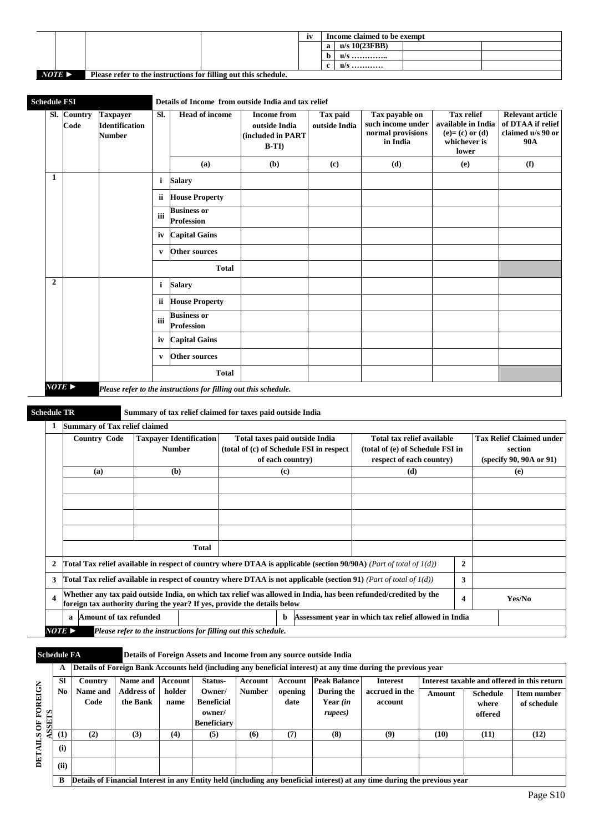|                       |                                                                 | 1V | Income claimed to be exempt |  |
|-----------------------|-----------------------------------------------------------------|----|-----------------------------|--|
|                       |                                                                 |    | $u/s$ 10(23FBB)             |  |
|                       |                                                                 |    | $u/s$                       |  |
|                       |                                                                 |    | $u/s$                       |  |
| $NOTE \triangleright$ | Please refer to the instructions for filling out this schedule. |    |                             |  |

| <b>Schedule FSI</b>   |                                                                                                                              |                                                                                                                              |              |                                                 |              | Details of Income from outside India and tax relief                                                             |                           |                                                                                            |                  |                                                                                        |                                                                                 |
|-----------------------|------------------------------------------------------------------------------------------------------------------------------|------------------------------------------------------------------------------------------------------------------------------|--------------|-------------------------------------------------|--------------|-----------------------------------------------------------------------------------------------------------------|---------------------------|--------------------------------------------------------------------------------------------|------------------|----------------------------------------------------------------------------------------|---------------------------------------------------------------------------------|
|                       | Sl. Country<br>Code                                                                                                          | <b>Taxpayer</b><br><b>Identification</b><br><b>Number</b>                                                                    | Sl.          | <b>Head of income</b>                           |              | <b>Income from</b><br>outside India<br>(included in PART<br>$B-TI$                                              | Tax paid<br>outside India | Tax payable on<br>such income under<br>normal provisions<br>in India                       |                  | <b>Tax relief</b><br>available in India<br>$(e)=(c)$ or $(d)$<br>whichever is<br>lower | <b>Relevant article</b><br>of DTAA if relief<br>claimed u/s 90 or<br><b>90A</b> |
|                       |                                                                                                                              |                                                                                                                              |              | (a)                                             |              | (b)                                                                                                             | (c)                       | (d)                                                                                        |                  | (e)                                                                                    | (f)                                                                             |
| 1                     |                                                                                                                              |                                                                                                                              | i            | <b>Salary</b>                                   |              |                                                                                                                 |                           |                                                                                            |                  |                                                                                        |                                                                                 |
|                       |                                                                                                                              |                                                                                                                              | ii           | <b>House Property</b>                           |              |                                                                                                                 |                           |                                                                                            |                  |                                                                                        |                                                                                 |
|                       |                                                                                                                              |                                                                                                                              | iii          | <b>Business or</b><br><b>Profession</b>         |              |                                                                                                                 |                           |                                                                                            |                  |                                                                                        |                                                                                 |
|                       |                                                                                                                              |                                                                                                                              | iv           | <b>Capital Gains</b>                            |              |                                                                                                                 |                           |                                                                                            |                  |                                                                                        |                                                                                 |
|                       |                                                                                                                              |                                                                                                                              | V            | <b>Other sources</b>                            |              |                                                                                                                 |                           |                                                                                            |                  |                                                                                        |                                                                                 |
|                       |                                                                                                                              |                                                                                                                              |              |                                                 | <b>Total</b> |                                                                                                                 |                           |                                                                                            |                  |                                                                                        |                                                                                 |
| $\overline{2}$        |                                                                                                                              |                                                                                                                              | $\mathbf{i}$ | <b>Salary</b>                                   |              |                                                                                                                 |                           |                                                                                            |                  |                                                                                        |                                                                                 |
|                       |                                                                                                                              |                                                                                                                              | ii.          | <b>House Property</b>                           |              |                                                                                                                 |                           |                                                                                            |                  |                                                                                        |                                                                                 |
|                       |                                                                                                                              |                                                                                                                              | iii          | <b>Business or</b><br><b>Profession</b>         |              |                                                                                                                 |                           |                                                                                            |                  |                                                                                        |                                                                                 |
|                       |                                                                                                                              |                                                                                                                              | iv           | <b>Capital Gains</b>                            |              |                                                                                                                 |                           |                                                                                            |                  |                                                                                        |                                                                                 |
|                       |                                                                                                                              |                                                                                                                              | V            | <b>Other sources</b>                            |              |                                                                                                                 |                           |                                                                                            |                  |                                                                                        |                                                                                 |
|                       |                                                                                                                              |                                                                                                                              |              |                                                 | <b>Total</b> |                                                                                                                 |                           |                                                                                            |                  |                                                                                        |                                                                                 |
| $NOTE \triangleright$ |                                                                                                                              |                                                                                                                              |              |                                                 |              | Please refer to the instructions for filling out this schedule.                                                 |                           |                                                                                            |                  |                                                                                        |                                                                                 |
| <b>Schedule TR</b>    |                                                                                                                              |                                                                                                                              |              |                                                 |              | Summary of tax relief claimed for taxes paid outside India                                                      |                           |                                                                                            |                  |                                                                                        |                                                                                 |
| $\mathbf{1}$          |                                                                                                                              | <b>Summary of Tax relief claimed</b>                                                                                         |              |                                                 |              |                                                                                                                 |                           |                                                                                            |                  |                                                                                        |                                                                                 |
|                       |                                                                                                                              | <b>Country Code</b>                                                                                                          |              | <b>Taxpayer Identification</b><br><b>Number</b> |              | Total taxes paid outside India<br>(total of (c) of Schedule FSI in respect<br>of each country)                  |                           | Total tax relief available<br>(total of (e) of Schedule FSI in<br>respect of each country) |                  |                                                                                        | <b>Tax Relief Claimed under</b><br>section<br>(specify 90, 90A or 91)           |
|                       |                                                                                                                              | (a)                                                                                                                          |              | (b)                                             |              | (c)                                                                                                             |                           | (d)                                                                                        |                  |                                                                                        | (e)                                                                             |
|                       |                                                                                                                              |                                                                                                                              |              |                                                 |              |                                                                                                                 |                           |                                                                                            |                  |                                                                                        |                                                                                 |
|                       |                                                                                                                              |                                                                                                                              |              |                                                 |              |                                                                                                                 |                           |                                                                                            |                  |                                                                                        |                                                                                 |
|                       |                                                                                                                              |                                                                                                                              |              |                                                 |              |                                                                                                                 |                           |                                                                                            |                  |                                                                                        |                                                                                 |
|                       |                                                                                                                              |                                                                                                                              |              | <b>Total</b>                                    |              |                                                                                                                 |                           |                                                                                            |                  |                                                                                        |                                                                                 |
| $\boldsymbol{2}$      |                                                                                                                              | <b>Total Tax relief available in respect of country where DTAA is applicable (section 90/90A)</b> (Part of total of $1(d)$ ) |              |                                                 |              |                                                                                                                 |                           |                                                                                            | $\boldsymbol{2}$ |                                                                                        |                                                                                 |
| 3                     | <b>Total Tax relief available in respect of country where DTAA is not applicable (section 91)</b> (Part of total of $1(d)$ ) |                                                                                                                              |              |                                                 |              |                                                                                                                 |                           | 3                                                                                          |                  |                                                                                        |                                                                                 |
| $\boldsymbol{4}$      | foreign tax authority during the year? If yes, provide the details below                                                     |                                                                                                                              |              |                                                 |              | Whether any tax paid outside India, on which tax relief was allowed in India, has been refunded/credited by the |                           |                                                                                            |                  | $\overline{\mathbf{4}}$                                                                | Yes/No                                                                          |
|                       | a                                                                                                                            | Amount of tax refunded                                                                                                       |              |                                                 |              | b                                                                                                               |                           | Assessment year in which tax relief allowed in India                                       |                  |                                                                                        |                                                                                 |
|                       | $NOTE \triangleright$<br>Please refer to the instructions for filling out this schedule.                                     |                                                                                                                              |              |                                                 |              |                                                                                                                 |                           |                                                                                            |                  |                                                                                        |                                                                                 |

## **Schedule FA Details of Foreign Assets and Income from any source outside India**

|                   |           |          |                   |         |                    |               |         |                     | Details of Foreign Bank Accounts held (including any beneficial interest) at any time during the previous year            |        |                 |                                             |
|-------------------|-----------|----------|-------------------|---------|--------------------|---------------|---------|---------------------|---------------------------------------------------------------------------------------------------------------------------|--------|-----------------|---------------------------------------------|
|                   | <b>SI</b> | Country  | Name and          | Account | Status-            | Account       | Account | <b>Peak Balance</b> | <b>Interest</b>                                                                                                           |        |                 | Interest taxable and offered in this return |
|                   | No.       | Name and | <b>Address of</b> | holder  | Owner/             | <b>Number</b> | opening | During the          | accrued in the                                                                                                            | Amount | <b>Schedule</b> | <b>Item number</b>                          |
|                   |           | Code     | the Bank          | name    | <b>Beneficial</b>  |               | date    | Year (in            | account                                                                                                                   |        | where           | of schedule                                 |
| FOREIGN           |           |          |                   |         | owner/             |               |         | rupees)             |                                                                                                                           |        | offered         |                                             |
| <b>SEETS</b><br>Š |           |          |                   |         | <b>Beneficiary</b> |               |         |                     |                                                                                                                           |        |                 |                                             |
| -€.               | (1)       | (2)      | (3)               | (4)     | (5)                | (6)           | (7)     | (8)                 | (9)                                                                                                                       | (10)   | (11)            | (12)                                        |
| DETAIL            | (i)       |          |                   |         |                    |               |         |                     |                                                                                                                           |        |                 |                                             |
|                   | (ii)      |          |                   |         |                    |               |         |                     |                                                                                                                           |        |                 |                                             |
|                   |           |          |                   |         |                    |               |         |                     | Details of Financial Interest in any Entity held (including any beneficial interest) at any time during the previous year |        |                 |                                             |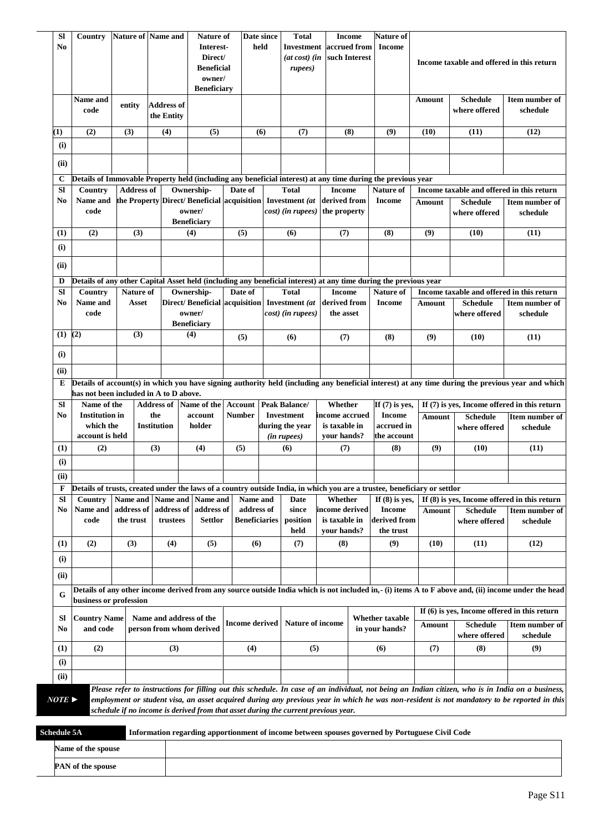|           | No                                                                                                                       |                                                                                                                 |                    | <b>Nature of Name and</b><br>Nature of<br>Interest-<br>Direct/<br><b>Beneficial</b><br>owner/<br><b>Beneficiary</b> |                                                                             |               | Date since<br>held                 |               | Investment accrued from<br>$(at \cos t)$ $(in$<br>rupees)                          | such Interest                   | <b>Income</b>                                                                                                                 |               | Income taxable and offered in this return      |                                                                                                                                                                                                                                                                                                  |
|-----------|--------------------------------------------------------------------------------------------------------------------------|-----------------------------------------------------------------------------------------------------------------|--------------------|---------------------------------------------------------------------------------------------------------------------|-----------------------------------------------------------------------------|---------------|------------------------------------|---------------|------------------------------------------------------------------------------------|---------------------------------|-------------------------------------------------------------------------------------------------------------------------------|---------------|------------------------------------------------|--------------------------------------------------------------------------------------------------------------------------------------------------------------------------------------------------------------------------------------------------------------------------------------------------|
|           | Name and<br>code                                                                                                         | entity                                                                                                          |                    | <b>Address of</b><br>the Entity                                                                                     |                                                                             |               |                                    |               |                                                                                    |                                 |                                                                                                                               | Amount        | <b>Schedule</b><br>where offered               | Item number of<br>schedule                                                                                                                                                                                                                                                                       |
| $\bf(1)$  | (2)                                                                                                                      | (3)                                                                                                             |                    | (4)                                                                                                                 | (5)                                                                         |               | (6)                                |               | (7)                                                                                | (8)                             | (9)                                                                                                                           | (10)          | (11)                                           | (12)                                                                                                                                                                                                                                                                                             |
| (i)       |                                                                                                                          |                                                                                                                 |                    |                                                                                                                     |                                                                             |               |                                    |               |                                                                                    |                                 |                                                                                                                               |               |                                                |                                                                                                                                                                                                                                                                                                  |
| (ii)      |                                                                                                                          |                                                                                                                 |                    |                                                                                                                     |                                                                             |               |                                    |               |                                                                                    |                                 |                                                                                                                               |               |                                                |                                                                                                                                                                                                                                                                                                  |
| C         | Details of Immovable Property held (including any beneficial interest) at any time during the previous year              |                                                                                                                 |                    |                                                                                                                     |                                                                             |               |                                    |               |                                                                                    |                                 |                                                                                                                               |               |                                                |                                                                                                                                                                                                                                                                                                  |
| SI        | Country                                                                                                                  |                                                                                                                 | <b>Address of</b>  |                                                                                                                     | Ownership-                                                                  |               | Date of                            |               | <b>Total</b>                                                                       | <b>Income</b>                   | Nature of                                                                                                                     |               | Income taxable and offered in this return      |                                                                                                                                                                                                                                                                                                  |
| No        | Name and<br>code                                                                                                         |                                                                                                                 |                    |                                                                                                                     | the Property Direct/ Beneficial acquisition<br>owner/<br><b>Beneficiary</b> |               |                                    |               | Investment (at<br>cost) (in rupees) the property                                   | derived from                    | <b>Income</b>                                                                                                                 | <b>Amount</b> | <b>Schedule</b><br>where offered               | Item number of<br>schedule                                                                                                                                                                                                                                                                       |
| (1)       | (2)                                                                                                                      |                                                                                                                 | (3)                |                                                                                                                     | (4)                                                                         |               | (5)                                |               | (6)                                                                                | (7)                             | (8)                                                                                                                           | (9)           | (10)                                           | (11)                                                                                                                                                                                                                                                                                             |
| (i)       |                                                                                                                          |                                                                                                                 |                    |                                                                                                                     |                                                                             |               |                                    |               |                                                                                    |                                 |                                                                                                                               |               |                                                |                                                                                                                                                                                                                                                                                                  |
| (ii)      |                                                                                                                          |                                                                                                                 |                    |                                                                                                                     |                                                                             |               |                                    |               |                                                                                    |                                 |                                                                                                                               |               |                                                |                                                                                                                                                                                                                                                                                                  |
|           |                                                                                                                          |                                                                                                                 |                    |                                                                                                                     |                                                                             |               |                                    |               |                                                                                    |                                 |                                                                                                                               |               |                                                |                                                                                                                                                                                                                                                                                                  |
| D<br>SI   | Country                                                                                                                  |                                                                                                                 | Nature of          |                                                                                                                     | Ownership-                                                                  |               | Date of                            |               | <b>Total</b>                                                                       | <b>Income</b>                   | Details of any other Capital Asset held (including any beneficial interest) at any time during the previous year<br>Nature of |               | Income taxable and offered in this return      |                                                                                                                                                                                                                                                                                                  |
| No        | Name and                                                                                                                 |                                                                                                                 | Asset              |                                                                                                                     | Direct/Beneficial acquisition                                               |               |                                    |               | Investment (at                                                                     | derived from                    | <b>Income</b>                                                                                                                 | Amount        | <b>Schedule</b>                                | Item number of                                                                                                                                                                                                                                                                                   |
|           | code                                                                                                                     |                                                                                                                 |                    |                                                                                                                     | owner/<br><b>Beneficiary</b>                                                |               |                                    |               | cost) (in rupees)                                                                  | the asset                       |                                                                                                                               |               | where offered                                  | schedule                                                                                                                                                                                                                                                                                         |
| (1)       | (2)                                                                                                                      |                                                                                                                 | (3)                |                                                                                                                     | (4)                                                                         |               | (5)                                | (6)           |                                                                                    | (7)                             | (8)                                                                                                                           | (9)           | (10)                                           | (11)                                                                                                                                                                                                                                                                                             |
| (i)       |                                                                                                                          |                                                                                                                 |                    |                                                                                                                     |                                                                             |               |                                    |               |                                                                                    |                                 |                                                                                                                               |               |                                                |                                                                                                                                                                                                                                                                                                  |
| (ii)      |                                                                                                                          |                                                                                                                 |                    |                                                                                                                     |                                                                             |               |                                    |               |                                                                                    |                                 |                                                                                                                               |               |                                                |                                                                                                                                                                                                                                                                                                  |
| E         | has not been included in A to D above.                                                                                   |                                                                                                                 |                    |                                                                                                                     |                                                                             |               |                                    |               |                                                                                    |                                 |                                                                                                                               |               |                                                | Details of account(s) in which you have signing authority held (including any beneficial interest) at any time during the previous year and which                                                                                                                                                |
| <b>SI</b> | Name of the                                                                                                              |                                                                                                                 | <b>Address of</b>  |                                                                                                                     | Name of the                                                                 | Account       |                                    |               | Peak Balance/                                                                      | Whether                         | If $(7)$ is yes,                                                                                                              |               |                                                | If (7) is yes, Income offered in this return                                                                                                                                                                                                                                                     |
| No        | <b>Institution</b> in                                                                                                    |                                                                                                                 | the                |                                                                                                                     | account                                                                     | <b>Number</b> |                                    |               | <b>Investment</b>                                                                  | income accrued                  | <b>Income</b>                                                                                                                 | <b>Amount</b> | <b>Schedule</b>                                | Item number of                                                                                                                                                                                                                                                                                   |
|           | which the<br>account is held                                                                                             |                                                                                                                 | <b>Institution</b> |                                                                                                                     | holder                                                                      |               |                                    |               | during the year<br>(in rupees)                                                     | is taxable in<br>vour hands?    | accrued in<br>the account                                                                                                     |               | where offered                                  | schedule                                                                                                                                                                                                                                                                                         |
| (1)       | (2)                                                                                                                      |                                                                                                                 | (3)                |                                                                                                                     | (4)                                                                         | (5)           |                                    |               | (6)                                                                                | (7)                             | (8)                                                                                                                           | (9)           | (10)                                           | (11)                                                                                                                                                                                                                                                                                             |
| (i)       |                                                                                                                          |                                                                                                                 |                    |                                                                                                                     |                                                                             |               |                                    |               |                                                                                    |                                 |                                                                                                                               |               |                                                |                                                                                                                                                                                                                                                                                                  |
| (ii)      |                                                                                                                          |                                                                                                                 |                    |                                                                                                                     |                                                                             |               |                                    |               |                                                                                    |                                 |                                                                                                                               |               |                                                |                                                                                                                                                                                                                                                                                                  |
| F         | Details of trusts, created under the laws of a country outside India, in which you are a trustee, beneficiary or settlor |                                                                                                                 |                    |                                                                                                                     |                                                                             |               |                                    |               |                                                                                    |                                 |                                                                                                                               |               |                                                |                                                                                                                                                                                                                                                                                                  |
| Sl        | Country                                                                                                                  | Name and                                                                                                        |                    | Name and                                                                                                            | Name and                                                                    |               | Name and                           |               | Date                                                                               | Whether                         | If $(8)$ is yes,                                                                                                              |               |                                                | If (8) is yes, Income offered in this return                                                                                                                                                                                                                                                     |
| No        | Name and<br>code                                                                                                         | address of<br>the trust                                                                                         |                    | address of<br>trustees                                                                                              | address of<br><b>Settlor</b>                                                |               | address of<br><b>Beneficiaries</b> |               | since<br>position                                                                  | income derived<br>is taxable in | <b>Income</b><br>derived from                                                                                                 | <b>Amount</b> | <b>Schedule</b><br>where offered               | Item number of                                                                                                                                                                                                                                                                                   |
|           |                                                                                                                          |                                                                                                                 |                    |                                                                                                                     |                                                                             |               |                                    |               | held                                                                               | your hands?                     | the trust                                                                                                                     |               |                                                | schedule                                                                                                                                                                                                                                                                                         |
| (1)       | (2)                                                                                                                      | (3)                                                                                                             |                    | (4)                                                                                                                 | (5)                                                                         |               | (6)                                |               | (7)                                                                                | (8)                             | (9)                                                                                                                           | (10)          | (11)                                           | (12)                                                                                                                                                                                                                                                                                             |
| (i)       |                                                                                                                          |                                                                                                                 |                    |                                                                                                                     |                                                                             |               |                                    |               |                                                                                    |                                 |                                                                                                                               |               |                                                |                                                                                                                                                                                                                                                                                                  |
| (ii)      |                                                                                                                          |                                                                                                                 |                    |                                                                                                                     |                                                                             |               |                                    |               |                                                                                    |                                 |                                                                                                                               |               |                                                |                                                                                                                                                                                                                                                                                                  |
| G         | business or profession                                                                                                   |                                                                                                                 |                    |                                                                                                                     |                                                                             |               |                                    |               |                                                                                    |                                 |                                                                                                                               |               |                                                | Details of any other income derived from any source outside India which is not included in,- (i) items A to F above and, (ii) income under the head                                                                                                                                              |
| Sl        |                                                                                                                          |                                                                                                                 |                    |                                                                                                                     |                                                                             |               |                                    |               |                                                                                    |                                 | <b>Whether taxable</b>                                                                                                        |               | If $(6)$ is yes, Income offered in this return |                                                                                                                                                                                                                                                                                                  |
| No        |                                                                                                                          | <b>Country Name</b><br>Name and address of the<br><b>Income derived</b><br>and code<br>person from whom derived |                    |                                                                                                                     | <b>Nature of income</b>                                                     |               | in your hands?                     | <b>Amount</b> | <b>Schedule</b><br>where offered                                                   | Item number of<br>schedule      |                                                                                                                               |               |                                                |                                                                                                                                                                                                                                                                                                  |
| (1)       | (2)                                                                                                                      |                                                                                                                 |                    | (3)                                                                                                                 |                                                                             |               | (4)                                |               | (5)                                                                                |                                 | (6)                                                                                                                           | (7)           | (8)                                            | (9)                                                                                                                                                                                                                                                                                              |
| (i)       |                                                                                                                          |                                                                                                                 |                    |                                                                                                                     |                                                                             |               |                                    |               |                                                                                    |                                 |                                                                                                                               |               |                                                |                                                                                                                                                                                                                                                                                                  |
| (ii)      |                                                                                                                          |                                                                                                                 |                    |                                                                                                                     |                                                                             |               |                                    |               |                                                                                    |                                 |                                                                                                                               |               |                                                |                                                                                                                                                                                                                                                                                                  |
| NOTE >    |                                                                                                                          |                                                                                                                 |                    |                                                                                                                     |                                                                             |               |                                    |               | schedule if no income is derived from that asset during the current previous year. |                                 |                                                                                                                               |               |                                                | Please refer to instructions for filling out this schedule. In case of an individual, not being an Indian citizen, who is in India on a business,<br>employment or student visa, an asset acquired during any previous year in which he was non-resident is not mandatory to be reported in this |

| Schedule 5A              | Information regarding apportionment of income between spouses governed by Portuguese Civil Code |  |  |  |  |  |  |  |
|--------------------------|-------------------------------------------------------------------------------------------------|--|--|--|--|--|--|--|
| Name of the spouse       |                                                                                                 |  |  |  |  |  |  |  |
| <b>PAN</b> of the spouse |                                                                                                 |  |  |  |  |  |  |  |